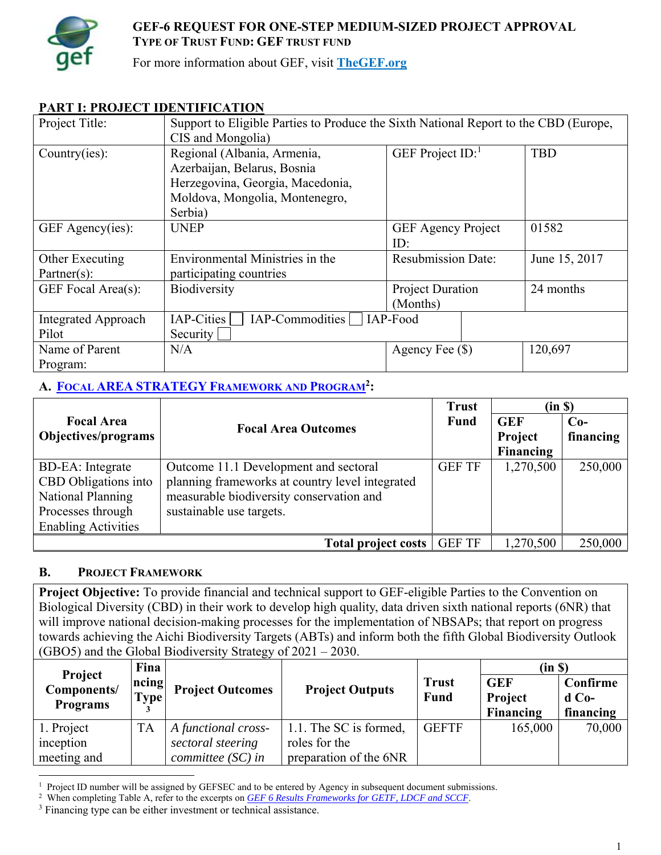

## **GEF-6 REQUEST FOR ONE-STEP MEDIUM-SIZED PROJECT APPROVAL TYPE OF TRUST FUND: GEF TRUST FUND**

For more information about GEF, visit **TheGEF.org**

## **PART I: PROJECT IDENTIFICATION**

| Project Title:             | Support to Eligible Parties to Produce the Sixth National Report to the CBD (Europe, |                           |               |  |
|----------------------------|--------------------------------------------------------------------------------------|---------------------------|---------------|--|
|                            | CIS and Mongolia)                                                                    |                           |               |  |
| Country(ies):              | Regional (Albania, Armenia,                                                          | GEF Project $ID$ :        | <b>TBD</b>    |  |
|                            | Azerbaijan, Belarus, Bosnia                                                          |                           |               |  |
|                            | Herzegovina, Georgia, Macedonia,                                                     |                           |               |  |
|                            | Moldova, Mongolia, Montenegro,                                                       |                           |               |  |
|                            | Serbia)                                                                              |                           |               |  |
| GEF Agency(ies):           | <b>UNEP</b>                                                                          | <b>GEF Agency Project</b> | 01582         |  |
|                            |                                                                                      | ID:                       |               |  |
| Other Executing            | Environmental Ministries in the                                                      | <b>Resubmission Date:</b> | June 15, 2017 |  |
| $\text{Patterner}(s)$ :    | participating countries                                                              |                           |               |  |
| GEF Focal Area(s):         | <b>Biodiversity</b>                                                                  | Project Duration          | 24 months     |  |
|                            |                                                                                      | (Months)                  |               |  |
| <b>Integrated Approach</b> | IAP-Cities<br>IAP-Commodities                                                        | IAP-Food                  |               |  |
| Pilot                      | Security                                                                             |                           |               |  |
| Name of Parent             | N/A                                                                                  | Agency Fee $(\$)$         | 120,697       |  |
| Program:                   |                                                                                      |                           |               |  |

## **A. FOCAL AREA STRATEGY FRAMEWORK AND PROGRAM2:**

|                            |                                                 | <b>Trust</b>  | (in S)     |           |
|----------------------------|-------------------------------------------------|---------------|------------|-----------|
| <b>Focal Area</b>          | <b>Focal Area Outcomes</b>                      | <b>Fund</b>   | <b>GEF</b> | $Co-$     |
| Objectives/programs        |                                                 |               | Project    | financing |
|                            |                                                 |               | Financing  |           |
| <b>BD-EA</b> : Integrate   | Outcome 11.1 Development and sectoral           | <b>GEF TF</b> | 1,270,500  | 250,000   |
| CBD Obligations into       | planning frameworks at country level integrated |               |            |           |
| National Planning          | measurable biodiversity conservation and        |               |            |           |
| Processes through          | sustainable use targets.                        |               |            |           |
| <b>Enabling Activities</b> |                                                 |               |            |           |
|                            | Total project costs                             | <b>GEF TF</b> | 1,270,500  | 250,000   |

## **B. PROJECT FRAMEWORK**

**Project Objective:** To provide financial and technical support to GEF-eligible Parties to the Convention on Biological Diversity (CBD) in their work to develop high quality, data driven sixth national reports (6NR) that will improve national decision-making processes for the implementation of NBSAPs; that report on progress towards achieving the Aichi Biodiversity Targets (ABTs) and inform both the fifth Global Biodiversity Outlook (GBO5) and the Global Biodiversity Strategy of 2021 – 2030.

| Project         | Fina                 |                         |                        |                      | (in S)                       |                     |
|-----------------|----------------------|-------------------------|------------------------|----------------------|------------------------------|---------------------|
| Components/     | ncing<br><b>Type</b> | <b>Project Outcomes</b> | <b>Project Outputs</b> | <b>Trust</b><br>Fund | <b>GEF</b><br><b>Project</b> | Confirme<br>$d$ Co- |
| <b>Programs</b> |                      |                         |                        |                      | Financing                    | financing           |
| 1. Project      | <b>TA</b>            | A functional cross-     | 1.1. The SC is formed, | <b>GEFTF</b>         | 165,000                      | 70,000              |
| inception       |                      | sectoral steering       | roles for the          |                      |                              |                     |
| meeting and     |                      | committee $(SC)$ in     | preparation of the 6NR |                      |                              |                     |

 $\overline{a}$ <sup>1</sup> Project ID number will be assigned by GEFSEC and to be entered by Agency in subsequent document submissions. <sup>2</sup> When completing Table A, refer to the excerpts on *GEF 6 Results Frameworks for GETF, LDCF and SCCF*.

<sup>&</sup>lt;sup>3</sup> Financing type can be either investment or technical assistance.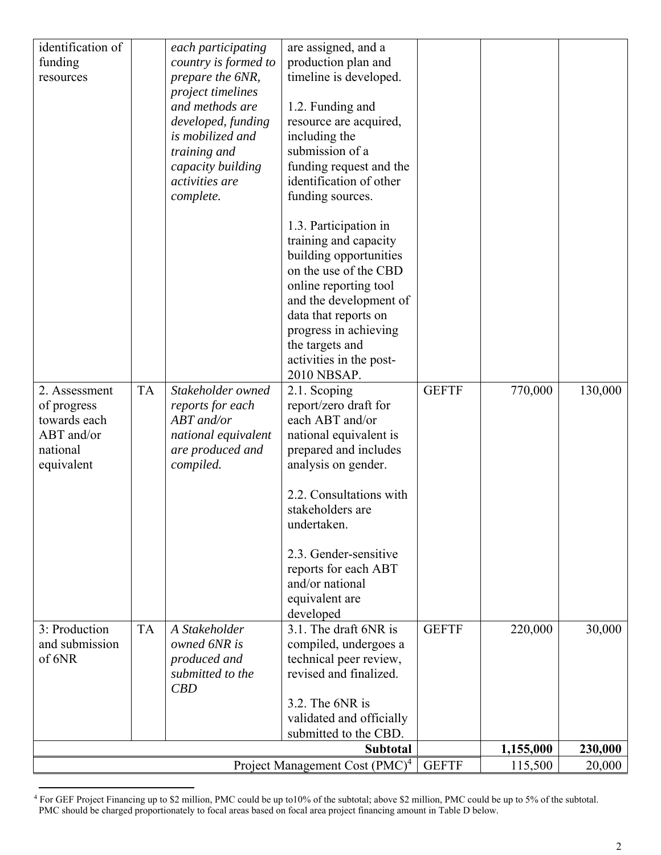| identification of      |                                         | each participating   | are assigned, and a                          |              |         |         |
|------------------------|-----------------------------------------|----------------------|----------------------------------------------|--------------|---------|---------|
| funding                |                                         | country is formed to | production plan and                          |              |         |         |
| resources              |                                         | prepare the 6NR,     | timeline is developed.                       |              |         |         |
|                        |                                         | project timelines    |                                              |              |         |         |
|                        |                                         | and methods are      | 1.2. Funding and                             |              |         |         |
|                        |                                         | developed, funding   | resource are acquired,                       |              |         |         |
|                        |                                         | is mobilized and     | including the                                |              |         |         |
|                        |                                         | training and         | submission of a                              |              |         |         |
|                        |                                         | capacity building    | funding request and the                      |              |         |         |
|                        |                                         | activities are       | identification of other                      |              |         |         |
|                        |                                         | complete.            | funding sources.                             |              |         |         |
|                        |                                         |                      | 1.3. Participation in                        |              |         |         |
|                        |                                         |                      | training and capacity                        |              |         |         |
|                        |                                         |                      | building opportunities                       |              |         |         |
|                        |                                         |                      | on the use of the CBD                        |              |         |         |
|                        |                                         |                      | online reporting tool                        |              |         |         |
|                        |                                         |                      | and the development of                       |              |         |         |
|                        |                                         |                      | data that reports on                         |              |         |         |
|                        |                                         |                      | progress in achieving                        |              |         |         |
|                        |                                         |                      | the targets and                              |              |         |         |
|                        |                                         |                      | activities in the post-                      |              |         |         |
|                        |                                         |                      | 2010 NBSAP.                                  |              |         |         |
| 2. Assessment          | <b>TA</b>                               | Stakeholder owned    | 2.1. Scoping                                 | <b>GEFTF</b> | 770,000 | 130,000 |
| of progress            |                                         | reports for each     | report/zero draft for                        |              |         |         |
| towards each           |                                         | ABT and/or           | each ABT and/or                              |              |         |         |
| ABT and/or             |                                         | national equivalent  | national equivalent is                       |              |         |         |
| national<br>equivalent |                                         | are produced and     | prepared and includes<br>analysis on gender. |              |         |         |
|                        |                                         | compiled.            |                                              |              |         |         |
|                        |                                         |                      | 2.2. Consultations with                      |              |         |         |
|                        |                                         |                      | stakeholders are                             |              |         |         |
|                        |                                         |                      | undertaken.                                  |              |         |         |
|                        |                                         |                      |                                              |              |         |         |
|                        |                                         |                      | 2.3. Gender-sensitive                        |              |         |         |
|                        |                                         |                      | reports for each ABT                         |              |         |         |
|                        |                                         |                      | and/or national                              |              |         |         |
|                        |                                         |                      | equivalent are                               |              |         |         |
| 3: Production          |                                         | A Stakeholder        | developed<br>3.1. The draft 6NR is           | <b>GEFTF</b> |         |         |
| and submission         | <b>TA</b>                               | owned 6NR is         | compiled, undergoes a                        |              | 220,000 | 30,000  |
| of 6NR                 |                                         | produced and         | technical peer review,                       |              |         |         |
|                        |                                         | submitted to the     | revised and finalized.                       |              |         |         |
|                        |                                         | CBD                  |                                              |              |         |         |
|                        |                                         |                      | 3.2. The 6NR is                              |              |         |         |
|                        |                                         |                      | validated and officially                     |              |         |         |
|                        |                                         |                      | submitted to the CBD.                        |              |         |         |
|                        | <b>Subtotal</b><br>1,155,000<br>230,000 |                      |                                              |              |         |         |
|                        |                                         |                      | Project Management Cost (PMC) <sup>4</sup>   | <b>GEFTF</b> | 115,500 | 20,000  |

<sup>4</sup> For GEF Project Financing up to \$2 million, PMC could be up to10% of the subtotal; above \$2 million, PMC could be up to 5% of the subtotal. PMC should be charged proportionately to focal areas based on focal area project financing amount in Table D below.

 $\overline{a}$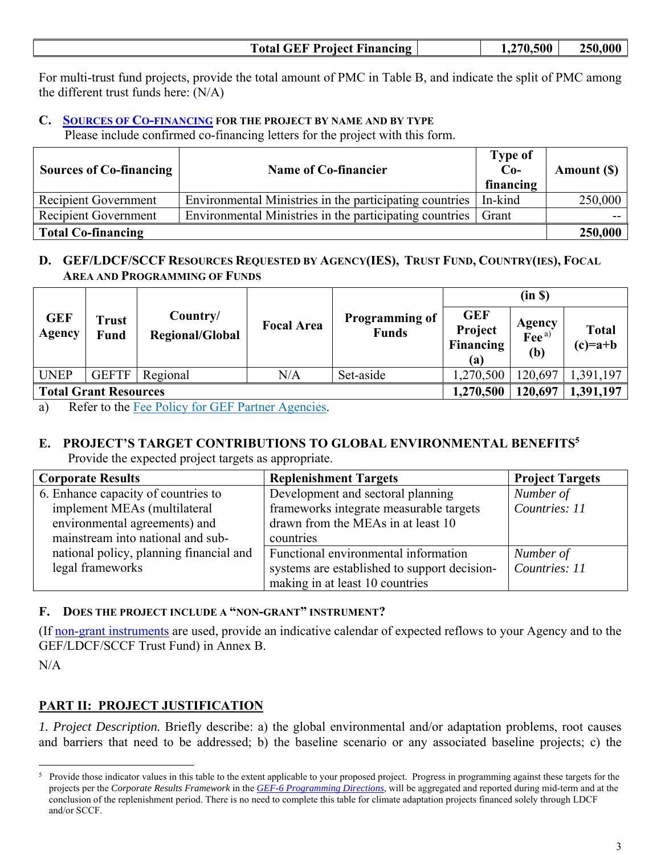| <b>Total GEF Project Financing</b> | 1,270,500 | 250,000 |
|------------------------------------|-----------|---------|
|------------------------------------|-----------|---------|

For multi-trust fund projects, provide the total amount of PMC in Table B, and indicate the split of PMC among the different trust funds here: (N/A)

## **C. SOURCES OF CO-FINANCING FOR THE PROJECT BY NAME AND BY TYPE**

Please include confirmed co-financing letters for the project with this form.

| <b>Sources of Co-financing</b> | Name of Co-financier                                    | <b>Type of</b><br>$Co-$<br>financing | Amount (\$) |
|--------------------------------|---------------------------------------------------------|--------------------------------------|-------------|
| Recipient Government           | Environmental Ministries in the participating countries | In-kind                              | 250,000     |
| Recipient Government           | Environmental Ministries in the participating countries | Grant                                |             |
| <b>Total Co-financing</b>      |                                                         |                                      | 250,000     |

## **D. GEF/LDCF/SCCF RESOURCES REQUESTED BY AGENCY(IES), TRUST FUND, COUNTRY(IES), FOCAL AREA AND PROGRAMMING OF FUNDS**

|                              |                             |                             |                   |                                       | (in S)                                           |                                    |                           |  |
|------------------------------|-----------------------------|-----------------------------|-------------------|---------------------------------------|--------------------------------------------------|------------------------------------|---------------------------|--|
| <b>GEF</b><br>Agency         | <b>Trust</b><br><b>Fund</b> | Country/<br>Regional/Global | <b>Focal Area</b> | <b>Programming of</b><br><b>Funds</b> | <b>GEF</b><br>Project<br><b>Financing</b><br>(a) | Agency<br>Fee <sup>a)</sup><br>(b) | <b>Total</b><br>$(c)=a+b$ |  |
| <b>UNEP</b>                  | <b>GEFTF</b>                | Regional                    | $\rm N/A$         | Set-aside                             | 1,270,500                                        | 120,697                            | ,391,197                  |  |
| <b>Total Grant Resources</b> |                             |                             |                   | 1,270,500                             | 120,697                                          | 1,391,197                          |                           |  |

a) Refer to the Fee Policy for GEF Partner Agencies.

# **E. PROJECT'S TARGET CONTRIBUTIONS TO GLOBAL ENVIRONMENTAL BENEFITS5**

| Provide the expected project targets as appropriate. |  |
|------------------------------------------------------|--|
|                                                      |  |
|                                                      |  |
|                                                      |  |

| <b>Corporate Results</b>                | <b>Replenishment Targets</b>                 | <b>Project Targets</b> |
|-----------------------------------------|----------------------------------------------|------------------------|
| 6. Enhance capacity of countries to     | Development and sectoral planning            | Number of              |
| implement MEAs (multilateral            | frameworks integrate measurable targets      | Countries: 11          |
| environmental agreements) and           | drawn from the MEAs in at least 10           |                        |
| mainstream into national and sub-       | countries                                    |                        |
| national policy, planning financial and | Functional environmental information         | Number of              |
| legal frameworks                        | systems are established to support decision- | Countries: 11          |
|                                         | making in at least 10 countries              |                        |

#### **F. DOES THE PROJECT INCLUDE A "NON-GRANT" INSTRUMENT?**

(If non-grant instruments are used, provide an indicative calendar of expected reflows to your Agency and to the GEF/LDCF/SCCF Trust Fund) in Annex B.

N/A

 $\overline{a}$ 

## **PART II: PROJECT JUSTIFICATION**

*1. Project Description.* Briefly describe: a) the global environmental and/or adaptation problems, root causes and barriers that need to be addressed; b) the baseline scenario or any associated baseline projects; c) the

<sup>&</sup>lt;sup>5</sup> Provide those indicator values in this table to the extent applicable to your proposed project. Progress in programming against these targets for the projects per the *Corporate Results Framework* in the *GEF-6 Programming Directions*, will be aggregated and reported during mid-term and at the conclusion of the replenishment period. There is no need to complete this table for climate adaptation projects financed solely through LDCF and/or SCCF.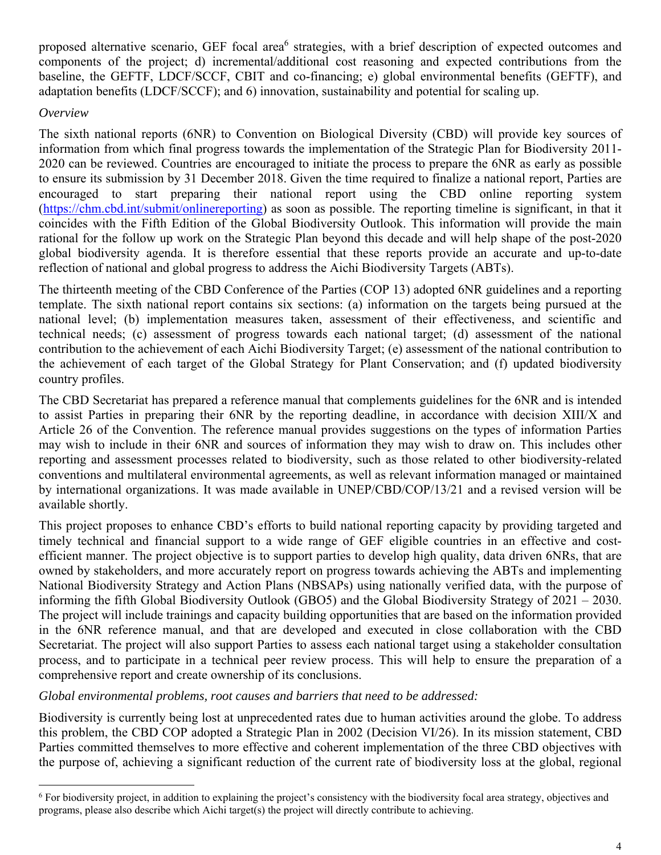proposed alternative scenario, GEF focal area<sup>6</sup> strategies, with a brief description of expected outcomes and components of the project; d) incremental/additional cost reasoning and expected contributions from the baseline, the GEFTF, LDCF/SCCF, CBIT and co-financing; e) global environmental benefits (GEFTF), and adaptation benefits (LDCF/SCCF); and 6) innovation, sustainability and potential for scaling up.

#### *Overview*

 $\overline{a}$ 

The sixth national reports (6NR) to Convention on Biological Diversity (CBD) will provide key sources of information from which final progress towards the implementation of the Strategic Plan for Biodiversity 2011- 2020 can be reviewed. Countries are encouraged to initiate the process to prepare the 6NR as early as possible to ensure its submission by 31 December 2018. Given the time required to finalize a national report, Parties are encouraged to start preparing their national report using the CBD online reporting system (https://chm.cbd.int/submit/onlinereporting) as soon as possible. The reporting timeline is significant, in that it coincides with the Fifth Edition of the Global Biodiversity Outlook. This information will provide the main rational for the follow up work on the Strategic Plan beyond this decade and will help shape of the post-2020 global biodiversity agenda. It is therefore essential that these reports provide an accurate and up-to-date reflection of national and global progress to address the Aichi Biodiversity Targets (ABTs).

The thirteenth meeting of the CBD Conference of the Parties (COP 13) adopted 6NR guidelines and a reporting template. The sixth national report contains six sections: (a) information on the targets being pursued at the national level; (b) implementation measures taken, assessment of their effectiveness, and scientific and technical needs; (c) assessment of progress towards each national target; (d) assessment of the national contribution to the achievement of each Aichi Biodiversity Target; (e) assessment of the national contribution to the achievement of each target of the Global Strategy for Plant Conservation; and (f) updated biodiversity country profiles.

The CBD Secretariat has prepared a reference manual that complements guidelines for the 6NR and is intended to assist Parties in preparing their 6NR by the reporting deadline, in accordance with decision XIII/X and Article 26 of the Convention. The reference manual provides suggestions on the types of information Parties may wish to include in their 6NR and sources of information they may wish to draw on. This includes other reporting and assessment processes related to biodiversity, such as those related to other biodiversity-related conventions and multilateral environmental agreements, as well as relevant information managed or maintained by international organizations. It was made available in UNEP/CBD/COP/13/21 and a revised version will be available shortly.

This project proposes to enhance CBD's efforts to build national reporting capacity by providing targeted and timely technical and financial support to a wide range of GEF eligible countries in an effective and costefficient manner. The project objective is to support parties to develop high quality, data driven 6NRs, that are owned by stakeholders, and more accurately report on progress towards achieving the ABTs and implementing National Biodiversity Strategy and Action Plans (NBSAPs) using nationally verified data, with the purpose of informing the fifth Global Biodiversity Outlook (GBO5) and the Global Biodiversity Strategy of 2021 – 2030. The project will include trainings and capacity building opportunities that are based on the information provided in the 6NR reference manual, and that are developed and executed in close collaboration with the CBD Secretariat. The project will also support Parties to assess each national target using a stakeholder consultation process, and to participate in a technical peer review process. This will help to ensure the preparation of a comprehensive report and create ownership of its conclusions.

## *Global environmental problems, root causes and barriers that need to be addressed:*

Biodiversity is currently being lost at unprecedented rates due to human activities around the globe. To address this problem, the CBD COP adopted a Strategic Plan in 2002 (Decision VI/26). In its mission statement, CBD Parties committed themselves to more effective and coherent implementation of the three CBD objectives with the purpose of, achieving a significant reduction of the current rate of biodiversity loss at the global, regional

<sup>6</sup> For biodiversity project, in addition to explaining the project's consistency with the biodiversity focal area strategy, objectives and programs, please also describe which Aichi target(s) the project will directly contribute to achieving.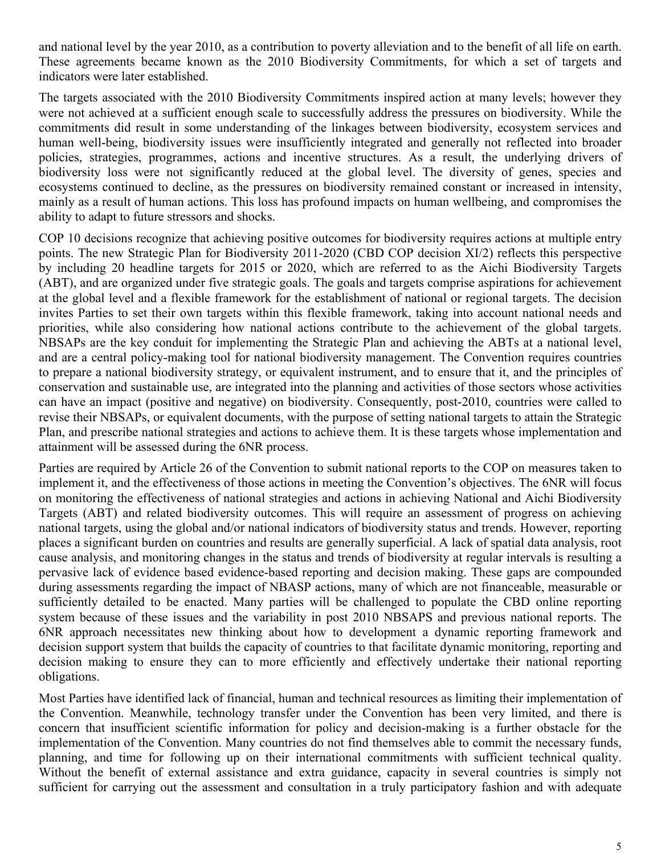and national level by the year 2010, as a contribution to poverty alleviation and to the benefit of all life on earth. These agreements became known as the 2010 Biodiversity Commitments, for which a set of targets and indicators were later established.

The targets associated with the 2010 Biodiversity Commitments inspired action at many levels; however they were not achieved at a sufficient enough scale to successfully address the pressures on biodiversity. While the commitments did result in some understanding of the linkages between biodiversity, ecosystem services and human well-being, biodiversity issues were insufficiently integrated and generally not reflected into broader policies, strategies, programmes, actions and incentive structures. As a result, the underlying drivers of biodiversity loss were not significantly reduced at the global level. The diversity of genes, species and ecosystems continued to decline, as the pressures on biodiversity remained constant or increased in intensity, mainly as a result of human actions. This loss has profound impacts on human wellbeing, and compromises the ability to adapt to future stressors and shocks.

COP 10 decisions recognize that achieving positive outcomes for biodiversity requires actions at multiple entry points. The new Strategic Plan for Biodiversity 2011-2020 (CBD COP decision XI/2) reflects this perspective by including 20 headline targets for 2015 or 2020, which are referred to as the Aichi Biodiversity Targets (ABT), and are organized under five strategic goals. The goals and targets comprise aspirations for achievement at the global level and a flexible framework for the establishment of national or regional targets. The decision invites Parties to set their own targets within this flexible framework, taking into account national needs and priorities, while also considering how national actions contribute to the achievement of the global targets. NBSAPs are the key conduit for implementing the Strategic Plan and achieving the ABTs at a national level, and are a central policy-making tool for national biodiversity management. The Convention requires countries to prepare a national biodiversity strategy, or equivalent instrument, and to ensure that it, and the principles of conservation and sustainable use, are integrated into the planning and activities of those sectors whose activities can have an impact (positive and negative) on biodiversity. Consequently, post-2010, countries were called to revise their NBSAPs, or equivalent documents, with the purpose of setting national targets to attain the Strategic Plan, and prescribe national strategies and actions to achieve them. It is these targets whose implementation and attainment will be assessed during the 6NR process.

Parties are required by Article 26 of the Convention to submit national reports to the COP on measures taken to implement it, and the effectiveness of those actions in meeting the Convention's objectives. The 6NR will focus on monitoring the effectiveness of national strategies and actions in achieving National and Aichi Biodiversity Targets (ABT) and related biodiversity outcomes. This will require an assessment of progress on achieving national targets, using the global and/or national indicators of biodiversity status and trends. However, reporting places a significant burden on countries and results are generally superficial. A lack of spatial data analysis, root cause analysis, and monitoring changes in the status and trends of biodiversity at regular intervals is resulting a pervasive lack of evidence based evidence-based reporting and decision making. These gaps are compounded during assessments regarding the impact of NBASP actions, many of which are not financeable, measurable or sufficiently detailed to be enacted. Many parties will be challenged to populate the CBD online reporting system because of these issues and the variability in post 2010 NBSAPS and previous national reports. The 6NR approach necessitates new thinking about how to development a dynamic reporting framework and decision support system that builds the capacity of countries to that facilitate dynamic monitoring, reporting and decision making to ensure they can to more efficiently and effectively undertake their national reporting obligations.

Most Parties have identified lack of financial, human and technical resources as limiting their implementation of the Convention. Meanwhile, technology transfer under the Convention has been very limited, and there is concern that insufficient scientific information for policy and decision-making is a further obstacle for the implementation of the Convention. Many countries do not find themselves able to commit the necessary funds, planning, and time for following up on their international commitments with sufficient technical quality. Without the benefit of external assistance and extra guidance, capacity in several countries is simply not sufficient for carrying out the assessment and consultation in a truly participatory fashion and with adequate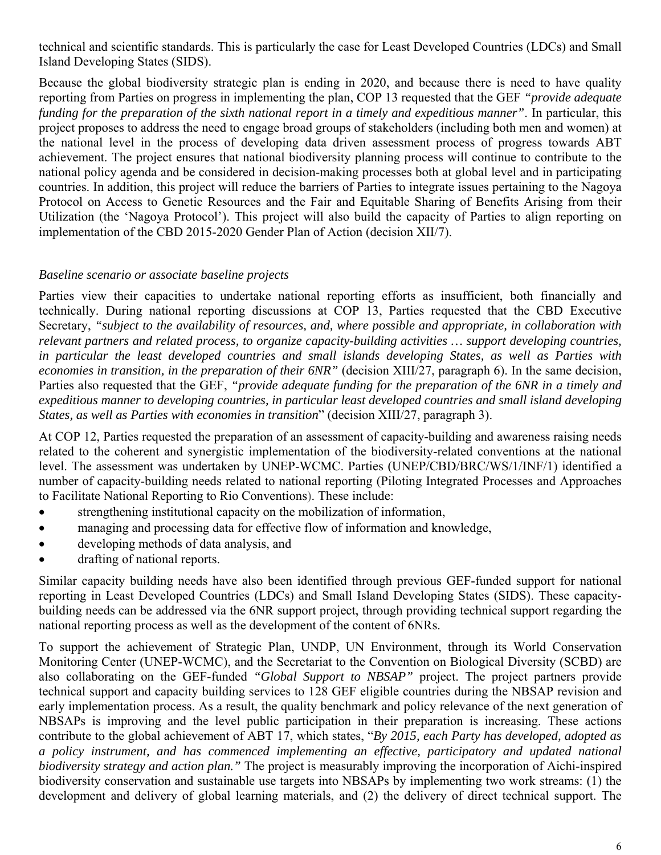technical and scientific standards. This is particularly the case for Least Developed Countries (LDCs) and Small Island Developing States (SIDS).

Because the global biodiversity strategic plan is ending in 2020, and because there is need to have quality reporting from Parties on progress in implementing the plan, COP 13 requested that the GEF *"provide adequate funding for the preparation of the sixth national report in a timely and expeditious manner"*. In particular, this project proposes to address the need to engage broad groups of stakeholders (including both men and women) at the national level in the process of developing data driven assessment process of progress towards ABT achievement. The project ensures that national biodiversity planning process will continue to contribute to the national policy agenda and be considered in decision-making processes both at global level and in participating countries. In addition, this project will reduce the barriers of Parties to integrate issues pertaining to the Nagoya Protocol on Access to Genetic Resources and the Fair and Equitable Sharing of Benefits Arising from their Utilization (the 'Nagoya Protocol'). This project will also build the capacity of Parties to align reporting on implementation of the CBD 2015-2020 Gender Plan of Action (decision XII/7).

## *Baseline scenario or associate baseline projects*

Parties view their capacities to undertake national reporting efforts as insufficient, both financially and technically. During national reporting discussions at COP 13, Parties requested that the CBD Executive Secretary, *"subject to the availability of resources, and, where possible and appropriate, in collaboration with relevant partners and related process, to organize capacity-building activities … support developing countries, in particular the least developed countries and small islands developing States, as well as Parties with economies in transition, in the preparation of their 6NR"* (decision XIII/27, paragraph 6). In the same decision, Parties also requested that the GEF, *"provide adequate funding for the preparation of the 6NR in a timely and expeditious manner to developing countries, in particular least developed countries and small island developing States, as well as Parties with economies in transition*" (decision XIII/27, paragraph 3).

At COP 12, Parties requested the preparation of an assessment of capacity-building and awareness raising needs related to the coherent and synergistic implementation of the biodiversity-related conventions at the national level. The assessment was undertaken by UNEP-WCMC. Parties (UNEP/CBD/BRC/WS/1/INF/1) identified a number of capacity-building needs related to national reporting (Piloting Integrated Processes and Approaches to Facilitate National Reporting to Rio Conventions). These include:

- strengthening institutional capacity on the mobilization of information,
- managing and processing data for effective flow of information and knowledge,
- developing methods of data analysis, and
- drafting of national reports.

Similar capacity building needs have also been identified through previous GEF-funded support for national reporting in Least Developed Countries (LDCs) and Small Island Developing States (SIDS). These capacitybuilding needs can be addressed via the 6NR support project, through providing technical support regarding the national reporting process as well as the development of the content of 6NRs.

To support the achievement of Strategic Plan, UNDP, UN Environment, through its World Conservation Monitoring Center (UNEP-WCMC), and the Secretariat to the Convention on Biological Diversity (SCBD) are also collaborating on the GEF-funded *"Global Support to NBSAP"* project. The project partners provide technical support and capacity building services to 128 GEF eligible countries during the NBSAP revision and early implementation process. As a result, the quality benchmark and policy relevance of the next generation of NBSAPs is improving and the level public participation in their preparation is increasing. These actions contribute to the global achievement of ABT 17, which states, "*By 2015, each Party has developed, adopted as a policy instrument, and has commenced implementing an effective, participatory and updated national biodiversity strategy and action plan."* The project is measurably improving the incorporation of Aichi-inspired biodiversity conservation and sustainable use targets into NBSAPs by implementing two work streams: (1) the development and delivery of global learning materials, and (2) the delivery of direct technical support. The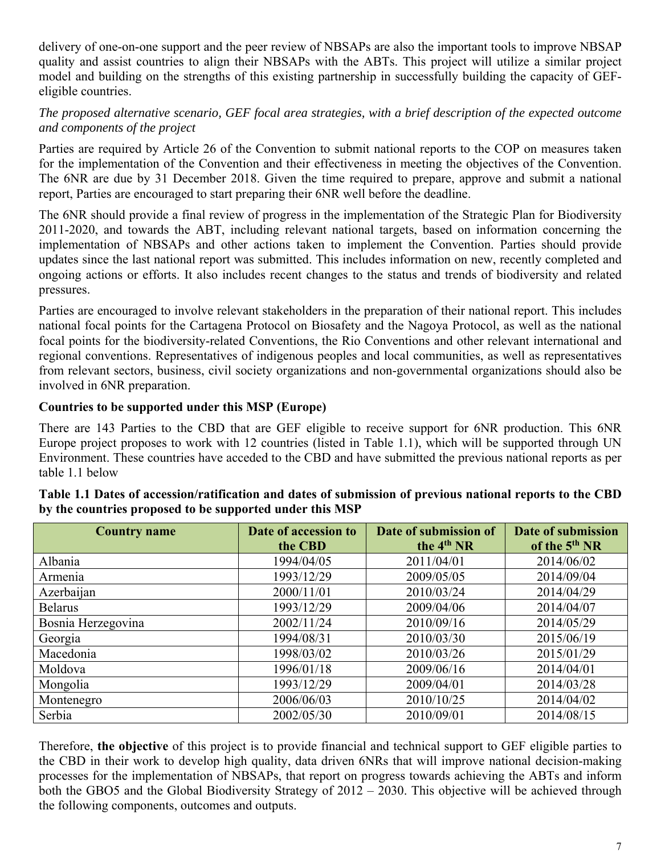delivery of one-on-one support and the peer review of NBSAPs are also the important tools to improve NBSAP quality and assist countries to align their NBSAPs with the ABTs. This project will utilize a similar project model and building on the strengths of this existing partnership in successfully building the capacity of GEFeligible countries.

## *The proposed alternative scenario, GEF focal area strategies, with a brief description of the expected outcome and components of the project*

Parties are required by Article 26 of the Convention to submit national reports to the COP on measures taken for the implementation of the Convention and their effectiveness in meeting the objectives of the Convention. The 6NR are due by 31 December 2018. Given the time required to prepare, approve and submit a national report, Parties are encouraged to start preparing their 6NR well before the deadline.

The 6NR should provide a final review of progress in the implementation of the Strategic Plan for Biodiversity 2011-2020, and towards the ABT, including relevant national targets, based on information concerning the implementation of NBSAPs and other actions taken to implement the Convention. Parties should provide updates since the last national report was submitted. This includes information on new, recently completed and ongoing actions or efforts. It also includes recent changes to the status and trends of biodiversity and related pressures.

Parties are encouraged to involve relevant stakeholders in the preparation of their national report. This includes national focal points for the Cartagena Protocol on Biosafety and the Nagoya Protocol, as well as the national focal points for the biodiversity-related Conventions, the Rio Conventions and other relevant international and regional conventions. Representatives of indigenous peoples and local communities, as well as representatives from relevant sectors, business, civil society organizations and non-governmental organizations should also be involved in 6NR preparation.

## **Countries to be supported under this MSP (Europe)**

There are 143 Parties to the CBD that are GEF eligible to receive support for 6NR production. This 6NR Europe project proposes to work with 12 countries (listed in Table 1.1), which will be supported through UN Environment. These countries have acceded to the CBD and have submitted the previous national reports as per table 1.1 below

| <b>Country name</b> | Date of accession to | Date of submission of  | <b>Date of submission</b> |
|---------------------|----------------------|------------------------|---------------------------|
|                     | the CBD              | the 4 <sup>th</sup> NR | of the 5 <sup>th</sup> NR |
| Albania             | 1994/04/05           | 2011/04/01             | 2014/06/02                |
| Armenia             | 1993/12/29           | 2009/05/05             | 2014/09/04                |
| Azerbaijan          | 2000/11/01           | 2010/03/24             | 2014/04/29                |
| <b>Belarus</b>      | 1993/12/29           | 2009/04/06             | 2014/04/07                |
| Bosnia Herzegovina  | 2002/11/24           | 2010/09/16             | 2014/05/29                |
| Georgia             | 1994/08/31           | 2010/03/30             | 2015/06/19                |
| Macedonia           | 1998/03/02           | 2010/03/26             | 2015/01/29                |
| Moldova             | 1996/01/18           | 2009/06/16             | 2014/04/01                |
| Mongolia            | 1993/12/29           | 2009/04/01             | 2014/03/28                |
| Montenegro          | 2006/06/03           | 2010/10/25             | 2014/04/02                |
| Serbia              | 2002/05/30           | 2010/09/01             | 2014/08/15                |

| Table 1.1 Dates of accession/ratification and dates of submission of previous national reports to the CBD |  |
|-----------------------------------------------------------------------------------------------------------|--|
| by the countries proposed to be supported under this MSP                                                  |  |

Therefore, **the objective** of this project is to provide financial and technical support to GEF eligible parties to the CBD in their work to develop high quality, data driven 6NRs that will improve national decision-making processes for the implementation of NBSAPs, that report on progress towards achieving the ABTs and inform both the GBO5 and the Global Biodiversity Strategy of 2012 – 2030. This objective will be achieved through the following components, outcomes and outputs.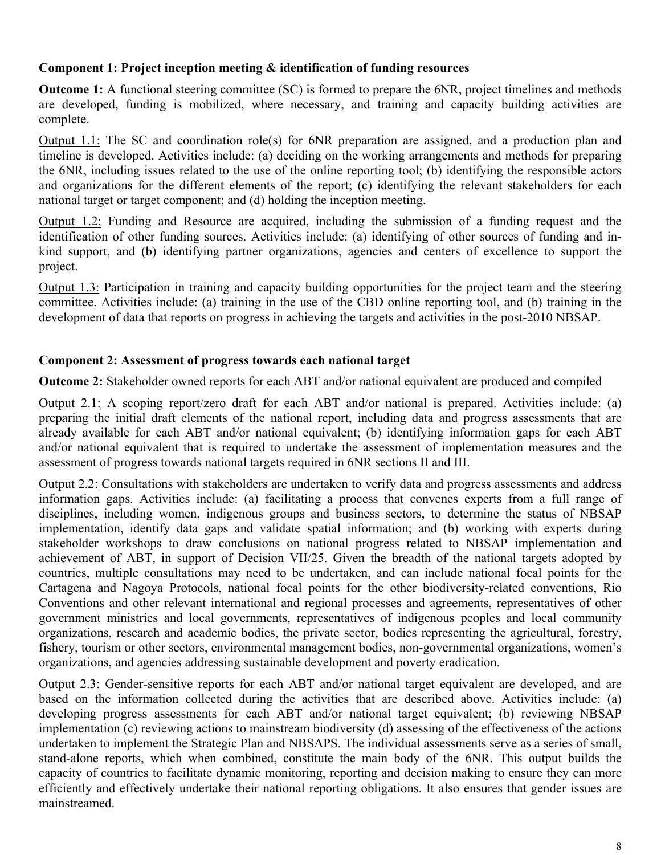## **Component 1: Project inception meeting & identification of funding resources**

**Outcome 1:** A functional steering committee (SC) is formed to prepare the 6NR, project timelines and methods are developed, funding is mobilized, where necessary, and training and capacity building activities are complete.

Output 1.1: The SC and coordination role(s) for 6NR preparation are assigned, and a production plan and timeline is developed. Activities include: (a) deciding on the working arrangements and methods for preparing the 6NR, including issues related to the use of the online reporting tool; (b) identifying the responsible actors and organizations for the different elements of the report; (c) identifying the relevant stakeholders for each national target or target component; and (d) holding the inception meeting.

Output 1.2: Funding and Resource are acquired, including the submission of a funding request and the identification of other funding sources. Activities include: (a) identifying of other sources of funding and inkind support, and (b) identifying partner organizations, agencies and centers of excellence to support the project.

Output 1.3: Participation in training and capacity building opportunities for the project team and the steering committee. Activities include: (a) training in the use of the CBD online reporting tool, and (b) training in the development of data that reports on progress in achieving the targets and activities in the post-2010 NBSAP.

## **Component 2: Assessment of progress towards each national target**

**Outcome 2:** Stakeholder owned reports for each ABT and/or national equivalent are produced and compiled

Output 2.1: A scoping report/zero draft for each ABT and/or national is prepared. Activities include: (a) preparing the initial draft elements of the national report, including data and progress assessments that are already available for each ABT and/or national equivalent; (b) identifying information gaps for each ABT and/or national equivalent that is required to undertake the assessment of implementation measures and the assessment of progress towards national targets required in 6NR sections II and III.

Output 2.2: Consultations with stakeholders are undertaken to verify data and progress assessments and address information gaps. Activities include: (a) facilitating a process that convenes experts from a full range of disciplines, including women, indigenous groups and business sectors, to determine the status of NBSAP implementation, identify data gaps and validate spatial information; and (b) working with experts during stakeholder workshops to draw conclusions on national progress related to NBSAP implementation and achievement of ABT, in support of Decision VII/25. Given the breadth of the national targets adopted by countries, multiple consultations may need to be undertaken, and can include national focal points for the Cartagena and Nagoya Protocols, national focal points for the other biodiversity-related conventions, Rio Conventions and other relevant international and regional processes and agreements, representatives of other government ministries and local governments, representatives of indigenous peoples and local community organizations, research and academic bodies, the private sector, bodies representing the agricultural, forestry, fishery, tourism or other sectors, environmental management bodies, non-governmental organizations, women's organizations, and agencies addressing sustainable development and poverty eradication.

Output 2.3: Gender-sensitive reports for each ABT and/or national target equivalent are developed, and are based on the information collected during the activities that are described above. Activities include: (a) developing progress assessments for each ABT and/or national target equivalent; (b) reviewing NBSAP implementation (c) reviewing actions to mainstream biodiversity (d) assessing of the effectiveness of the actions undertaken to implement the Strategic Plan and NBSAPS. The individual assessments serve as a series of small, stand-alone reports, which when combined, constitute the main body of the 6NR. This output builds the capacity of countries to facilitate dynamic monitoring, reporting and decision making to ensure they can more efficiently and effectively undertake their national reporting obligations. It also ensures that gender issues are mainstreamed.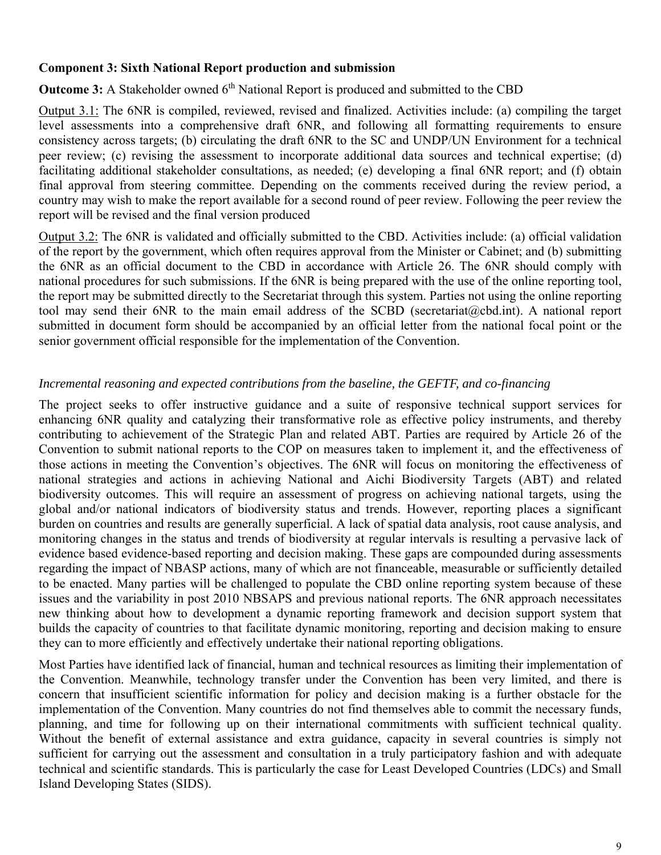#### **Component 3: Sixth National Report production and submission**

**Outcome 3:** A Stakeholder owned 6<sup>th</sup> National Report is produced and submitted to the CBD

Output 3.1: The 6NR is compiled, reviewed, revised and finalized. Activities include: (a) compiling the target level assessments into a comprehensive draft 6NR, and following all formatting requirements to ensure consistency across targets; (b) circulating the draft 6NR to the SC and UNDP/UN Environment for a technical peer review; (c) revising the assessment to incorporate additional data sources and technical expertise; (d) facilitating additional stakeholder consultations, as needed; (e) developing a final 6NR report; and (f) obtain final approval from steering committee. Depending on the comments received during the review period, a country may wish to make the report available for a second round of peer review. Following the peer review the report will be revised and the final version produced

Output 3.2: The 6NR is validated and officially submitted to the CBD. Activities include: (a) official validation of the report by the government, which often requires approval from the Minister or Cabinet; and (b) submitting the 6NR as an official document to the CBD in accordance with Article 26. The 6NR should comply with national procedures for such submissions. If the 6NR is being prepared with the use of the online reporting tool, the report may be submitted directly to the Secretariat through this system. Parties not using the online reporting tool may send their 6NR to the main email address of the SCBD (secretariat@cbd.int). A national report submitted in document form should be accompanied by an official letter from the national focal point or the senior government official responsible for the implementation of the Convention.

#### *Incremental reasoning and expected contributions from the baseline, the GEFTF, and co-financing*

The project seeks to offer instructive guidance and a suite of responsive technical support services for enhancing 6NR quality and catalyzing their transformative role as effective policy instruments, and thereby contributing to achievement of the Strategic Plan and related ABT. Parties are required by Article 26 of the Convention to submit national reports to the COP on measures taken to implement it, and the effectiveness of those actions in meeting the Convention's objectives. The 6NR will focus on monitoring the effectiveness of national strategies and actions in achieving National and Aichi Biodiversity Targets (ABT) and related biodiversity outcomes. This will require an assessment of progress on achieving national targets, using the global and/or national indicators of biodiversity status and trends. However, reporting places a significant burden on countries and results are generally superficial. A lack of spatial data analysis, root cause analysis, and monitoring changes in the status and trends of biodiversity at regular intervals is resulting a pervasive lack of evidence based evidence-based reporting and decision making. These gaps are compounded during assessments regarding the impact of NBASP actions, many of which are not financeable, measurable or sufficiently detailed to be enacted. Many parties will be challenged to populate the CBD online reporting system because of these issues and the variability in post 2010 NBSAPS and previous national reports. The 6NR approach necessitates new thinking about how to development a dynamic reporting framework and decision support system that builds the capacity of countries to that facilitate dynamic monitoring, reporting and decision making to ensure they can to more efficiently and effectively undertake their national reporting obligations.

Most Parties have identified lack of financial, human and technical resources as limiting their implementation of the Convention. Meanwhile, technology transfer under the Convention has been very limited, and there is concern that insufficient scientific information for policy and decision making is a further obstacle for the implementation of the Convention. Many countries do not find themselves able to commit the necessary funds, planning, and time for following up on their international commitments with sufficient technical quality. Without the benefit of external assistance and extra guidance, capacity in several countries is simply not sufficient for carrying out the assessment and consultation in a truly participatory fashion and with adequate technical and scientific standards. This is particularly the case for Least Developed Countries (LDCs) and Small Island Developing States (SIDS).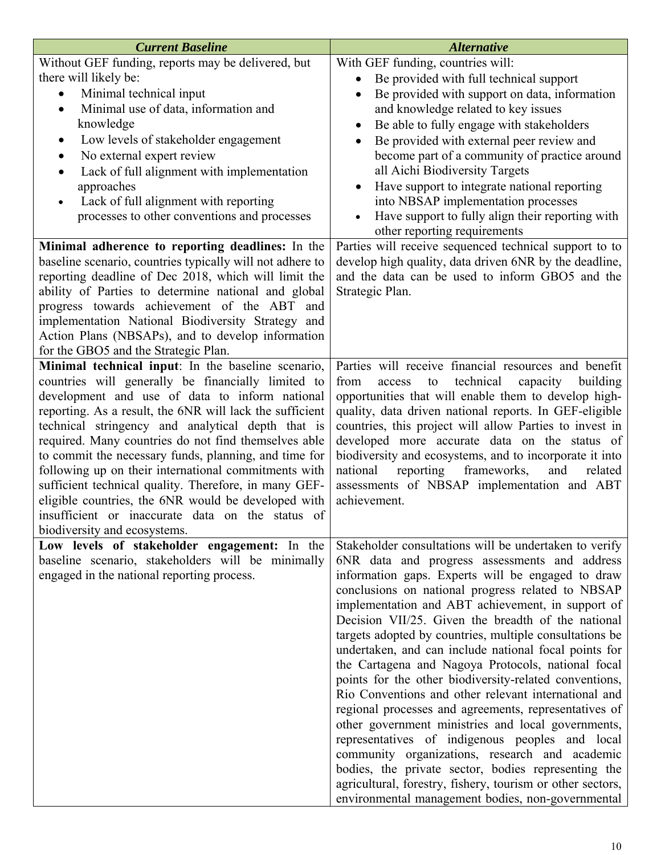| <b>Current Baseline</b>                                                                            | <b>Alternative</b>                                                                                      |
|----------------------------------------------------------------------------------------------------|---------------------------------------------------------------------------------------------------------|
| Without GEF funding, reports may be delivered, but                                                 | With GEF funding, countries will:                                                                       |
| there will likely be:                                                                              | Be provided with full technical support<br>$\bullet$                                                    |
| Minimal technical input                                                                            | Be provided with support on data, information                                                           |
| Minimal use of data, information and<br>$\bullet$                                                  | and knowledge related to key issues                                                                     |
| knowledge                                                                                          | Be able to fully engage with stakeholders<br>$\bullet$                                                  |
| Low levels of stakeholder engagement<br>$\bullet$                                                  | Be provided with external peer review and                                                               |
| No external expert review<br>$\bullet$                                                             | become part of a community of practice around                                                           |
| Lack of full alignment with implementation<br>$\bullet$                                            | all Aichi Biodiversity Targets                                                                          |
| approaches                                                                                         | Have support to integrate national reporting<br>$\bullet$                                               |
| Lack of full alignment with reporting<br>$\bullet$                                                 | into NBSAP implementation processes                                                                     |
| processes to other conventions and processes                                                       | Have support to fully align their reporting with                                                        |
|                                                                                                    | other reporting requirements                                                                            |
| Minimal adherence to reporting deadlines: In the                                                   | Parties will receive sequenced technical support to to                                                  |
| baseline scenario, countries typically will not adhere to                                          | develop high quality, data driven 6NR by the deadline,                                                  |
| reporting deadline of Dec 2018, which will limit the                                               | and the data can be used to inform GBO5 and the                                                         |
| ability of Parties to determine national and global<br>progress towards achievement of the ABT and | Strategic Plan.                                                                                         |
| implementation National Biodiversity Strategy and                                                  |                                                                                                         |
| Action Plans (NBSAPs), and to develop information                                                  |                                                                                                         |
| for the GBO5 and the Strategic Plan.                                                               |                                                                                                         |
| Minimal technical input: In the baseline scenario,                                                 | Parties will receive financial resources and benefit                                                    |
| countries will generally be financially limited to                                                 | technical<br>building<br>from<br>to<br>capacity<br>access                                               |
| development and use of data to inform national                                                     | opportunities that will enable them to develop high-                                                    |
| reporting. As a result, the 6NR will lack the sufficient                                           | quality, data driven national reports. In GEF-eligible                                                  |
| technical stringency and analytical depth that is                                                  | countries, this project will allow Parties to invest in                                                 |
| required. Many countries do not find themselves able                                               | developed more accurate data on the status of                                                           |
| to commit the necessary funds, planning, and time for                                              | biodiversity and ecosystems, and to incorporate it into                                                 |
| following up on their international commitments with                                               | national<br>reporting<br>frameworks,<br>and<br>related                                                  |
| sufficient technical quality. Therefore, in many GEF-                                              | assessments of NBSAP implementation and ABT                                                             |
| eligible countries, the 6NR would be developed with                                                | achievement.                                                                                            |
| insufficient or inaccurate data on the status of                                                   |                                                                                                         |
| biodiversity and ecosystems.                                                                       |                                                                                                         |
| Low levels of stakeholder engagement: In the<br>baseline scenario, stakeholders will be minimally  | Stakeholder consultations will be undertaken to verify<br>6NR data and progress assessments and address |
| engaged in the national reporting process.                                                         | information gaps. Experts will be engaged to draw                                                       |
|                                                                                                    | conclusions on national progress related to NBSAP                                                       |
|                                                                                                    | implementation and ABT achievement, in support of                                                       |
|                                                                                                    | Decision VII/25. Given the breadth of the national                                                      |
|                                                                                                    | targets adopted by countries, multiple consultations be                                                 |
|                                                                                                    | undertaken, and can include national focal points for                                                   |
|                                                                                                    | the Cartagena and Nagoya Protocols, national focal                                                      |
|                                                                                                    | points for the other biodiversity-related conventions,                                                  |
|                                                                                                    | Rio Conventions and other relevant international and                                                    |
|                                                                                                    | regional processes and agreements, representatives of                                                   |
|                                                                                                    | other government ministries and local governments,                                                      |
|                                                                                                    | representatives of indigenous peoples and local                                                         |
|                                                                                                    | community organizations, research and academic                                                          |
|                                                                                                    | bodies, the private sector, bodies representing the                                                     |
|                                                                                                    | agricultural, forestry, fishery, tourism or other sectors,                                              |
|                                                                                                    | environmental management bodies, non-governmental                                                       |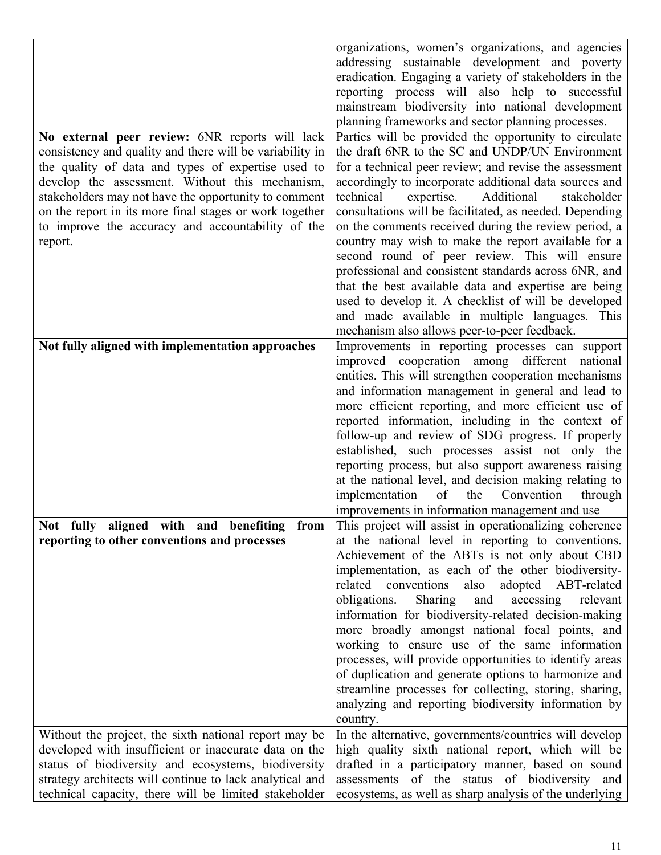| No external peer review: 6NR reports will lack                                                                                                                                                                                                                                             | organizations, women's organizations, and agencies<br>addressing sustainable development and poverty<br>eradication. Engaging a variety of stakeholders in the<br>reporting process will also help to successful<br>mainstream biodiversity into national development<br>planning frameworks and sector planning processes.<br>Parties will be provided the opportunity to circulate                                                                                                                                                                                                                                                                                                                                                          |
|--------------------------------------------------------------------------------------------------------------------------------------------------------------------------------------------------------------------------------------------------------------------------------------------|-----------------------------------------------------------------------------------------------------------------------------------------------------------------------------------------------------------------------------------------------------------------------------------------------------------------------------------------------------------------------------------------------------------------------------------------------------------------------------------------------------------------------------------------------------------------------------------------------------------------------------------------------------------------------------------------------------------------------------------------------|
| consistency and quality and there will be variability in<br>the quality of data and types of expertise used to<br>develop the assessment. Without this mechanism,<br>stakeholders may not have the opportunity to comment                                                                  | the draft 6NR to the SC and UNDP/UN Environment<br>for a technical peer review; and revise the assessment<br>accordingly to incorporate additional data sources and<br>expertise.<br>Additional<br>technical<br>stakeholder                                                                                                                                                                                                                                                                                                                                                                                                                                                                                                                   |
| on the report in its more final stages or work together<br>to improve the accuracy and accountability of the<br>report.                                                                                                                                                                    | consultations will be facilitated, as needed. Depending<br>on the comments received during the review period, a<br>country may wish to make the report available for a<br>second round of peer review. This will ensure<br>professional and consistent standards across 6NR, and                                                                                                                                                                                                                                                                                                                                                                                                                                                              |
|                                                                                                                                                                                                                                                                                            | that the best available data and expertise are being<br>used to develop it. A checklist of will be developed<br>and made available in multiple languages. This<br>mechanism also allows peer-to-peer feedback.                                                                                                                                                                                                                                                                                                                                                                                                                                                                                                                                |
| Not fully aligned with implementation approaches                                                                                                                                                                                                                                           | Improvements in reporting processes can support<br>improved cooperation among different national<br>entities. This will strengthen cooperation mechanisms<br>and information management in general and lead to<br>more efficient reporting, and more efficient use of<br>reported information, including in the context of<br>follow-up and review of SDG progress. If properly<br>established, such processes assist not only the<br>reporting process, but also support awareness raising<br>at the national level, and decision making relating to<br>implementation<br>Convention<br>of<br>the<br>through<br>improvements in information management and use                                                                               |
| Not fully aligned with and benefiting from<br>reporting to other conventions and processes                                                                                                                                                                                                 | This project will assist in operationalizing coherence<br>at the national level in reporting to conventions.<br>Achievement of the ABTs is not only about CBD<br>implementation, as each of the other biodiversity-<br>conventions also adopted ABT-related<br>related<br>obligations.<br>Sharing<br>and<br>accessing<br>relevant<br>information for biodiversity-related decision-making<br>more broadly amongst national focal points, and<br>working to ensure use of the same information<br>processes, will provide opportunities to identify areas<br>of duplication and generate options to harmonize and<br>streamline processes for collecting, storing, sharing,<br>analyzing and reporting biodiversity information by<br>country. |
| Without the project, the sixth national report may be<br>developed with insufficient or inaccurate data on the<br>status of biodiversity and ecosystems, biodiversity<br>strategy architects will continue to lack analytical and<br>technical capacity, there will be limited stakeholder | In the alternative, governments/countries will develop<br>high quality sixth national report, which will be<br>drafted in a participatory manner, based on sound<br>assessments of the status of biodiversity and<br>ecosystems, as well as sharp analysis of the underlying                                                                                                                                                                                                                                                                                                                                                                                                                                                                  |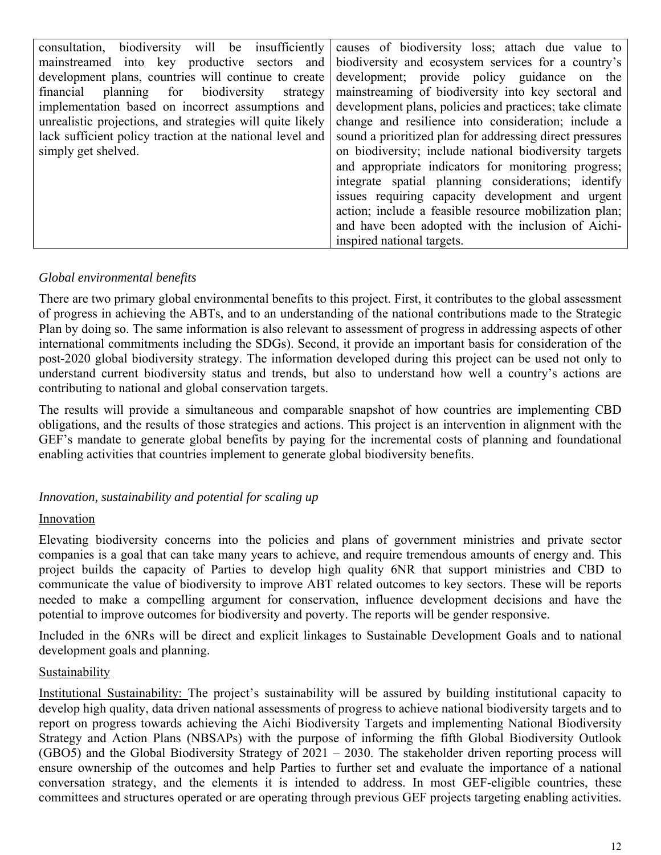|                                                           | consultation, biodiversity will be insufficiently causes of biodiversity loss; attach due value to |
|-----------------------------------------------------------|----------------------------------------------------------------------------------------------------|
|                                                           |                                                                                                    |
|                                                           | mainstreamed into key productive sectors and biodiversity and ecosystem services for a country's   |
| development plans, countries will continue to create      | development; provide policy guidance on the                                                        |
| financial planning for biodiversity strategy              | mainstreaming of biodiversity into key sectoral and                                                |
| implementation based on incorrect assumptions and         | development plans, policies and practices; take climate                                            |
| unrealistic projections, and strategies will quite likely | change and resilience into consideration; include a                                                |
| lack sufficient policy traction at the national level and | sound a prioritized plan for addressing direct pressures                                           |
| simply get shelved.                                       | on biodiversity; include national biodiversity targets                                             |
|                                                           | and appropriate indicators for monitoring progress;                                                |
|                                                           | integrate spatial planning considerations; identify                                                |
|                                                           | issues requiring capacity development and urgent                                                   |
|                                                           | action; include a feasible resource mobilization plan;                                             |
|                                                           | and have been adopted with the inclusion of Aichi-                                                 |
|                                                           | inspired national targets.                                                                         |

## *Global environmental benefits*

There are two primary global environmental benefits to this project. First, it contributes to the global assessment of progress in achieving the ABTs, and to an understanding of the national contributions made to the Strategic Plan by doing so. The same information is also relevant to assessment of progress in addressing aspects of other international commitments including the SDGs). Second, it provide an important basis for consideration of the post-2020 global biodiversity strategy. The information developed during this project can be used not only to understand current biodiversity status and trends, but also to understand how well a country's actions are contributing to national and global conservation targets.

The results will provide a simultaneous and comparable snapshot of how countries are implementing CBD obligations, and the results of those strategies and actions. This project is an intervention in alignment with the GEF's mandate to generate global benefits by paying for the incremental costs of planning and foundational enabling activities that countries implement to generate global biodiversity benefits.

## *Innovation, sustainability and potential for scaling up*

## Innovation

Elevating biodiversity concerns into the policies and plans of government ministries and private sector companies is a goal that can take many years to achieve, and require tremendous amounts of energy and. This project builds the capacity of Parties to develop high quality 6NR that support ministries and CBD to communicate the value of biodiversity to improve ABT related outcomes to key sectors. These will be reports needed to make a compelling argument for conservation, influence development decisions and have the potential to improve outcomes for biodiversity and poverty. The reports will be gender responsive.

Included in the 6NRs will be direct and explicit linkages to Sustainable Development Goals and to national development goals and planning.

#### Sustainability

Institutional Sustainability: The project's sustainability will be assured by building institutional capacity to develop high quality, data driven national assessments of progress to achieve national biodiversity targets and to report on progress towards achieving the Aichi Biodiversity Targets and implementing National Biodiversity Strategy and Action Plans (NBSAPs) with the purpose of informing the fifth Global Biodiversity Outlook (GBO5) and the Global Biodiversity Strategy of 2021 – 2030. The stakeholder driven reporting process will ensure ownership of the outcomes and help Parties to further set and evaluate the importance of a national conversation strategy, and the elements it is intended to address. In most GEF-eligible countries, these committees and structures operated or are operating through previous GEF projects targeting enabling activities.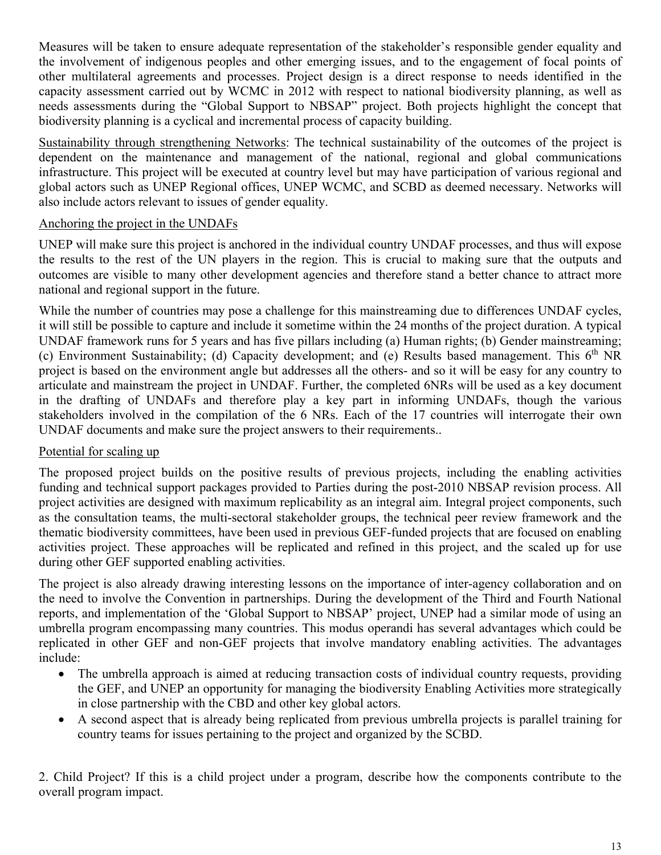Measures will be taken to ensure adequate representation of the stakeholder's responsible gender equality and the involvement of indigenous peoples and other emerging issues, and to the engagement of focal points of other multilateral agreements and processes. Project design is a direct response to needs identified in the capacity assessment carried out by WCMC in 2012 with respect to national biodiversity planning, as well as needs assessments during the "Global Support to NBSAP" project. Both projects highlight the concept that biodiversity planning is a cyclical and incremental process of capacity building.

Sustainability through strengthening Networks: The technical sustainability of the outcomes of the project is dependent on the maintenance and management of the national, regional and global communications infrastructure. This project will be executed at country level but may have participation of various regional and global actors such as UNEP Regional offices, UNEP WCMC, and SCBD as deemed necessary. Networks will also include actors relevant to issues of gender equality.

## Anchoring the project in the UNDAFs

UNEP will make sure this project is anchored in the individual country UNDAF processes, and thus will expose the results to the rest of the UN players in the region. This is crucial to making sure that the outputs and outcomes are visible to many other development agencies and therefore stand a better chance to attract more national and regional support in the future.

While the number of countries may pose a challenge for this mainstreaming due to differences UNDAF cycles, it will still be possible to capture and include it sometime within the 24 months of the project duration. A typical UNDAF framework runs for 5 years and has five pillars including (a) Human rights; (b) Gender mainstreaming; (c) Environment Sustainability; (d) Capacity development; and (e) Results based management. This  $6<sup>th</sup> NR$ project is based on the environment angle but addresses all the others- and so it will be easy for any country to articulate and mainstream the project in UNDAF. Further, the completed 6NRs will be used as a key document in the drafting of UNDAFs and therefore play a key part in informing UNDAFs, though the various stakeholders involved in the compilation of the 6 NRs. Each of the 17 countries will interrogate their own UNDAF documents and make sure the project answers to their requirements..

## Potential for scaling up

The proposed project builds on the positive results of previous projects, including the enabling activities funding and technical support packages provided to Parties during the post-2010 NBSAP revision process. All project activities are designed with maximum replicability as an integral aim. Integral project components, such as the consultation teams, the multi-sectoral stakeholder groups, the technical peer review framework and the thematic biodiversity committees, have been used in previous GEF-funded projects that are focused on enabling activities project. These approaches will be replicated and refined in this project, and the scaled up for use during other GEF supported enabling activities.

The project is also already drawing interesting lessons on the importance of inter-agency collaboration and on the need to involve the Convention in partnerships. During the development of the Third and Fourth National reports, and implementation of the 'Global Support to NBSAP' project, UNEP had a similar mode of using an umbrella program encompassing many countries. This modus operandi has several advantages which could be replicated in other GEF and non-GEF projects that involve mandatory enabling activities. The advantages include:

- The umbrella approach is aimed at reducing transaction costs of individual country requests, providing the GEF, and UNEP an opportunity for managing the biodiversity Enabling Activities more strategically in close partnership with the CBD and other key global actors.
- A second aspect that is already being replicated from previous umbrella projects is parallel training for country teams for issues pertaining to the project and organized by the SCBD.

2. Child Project? If this is a child project under a program, describe how the components contribute to the overall program impact.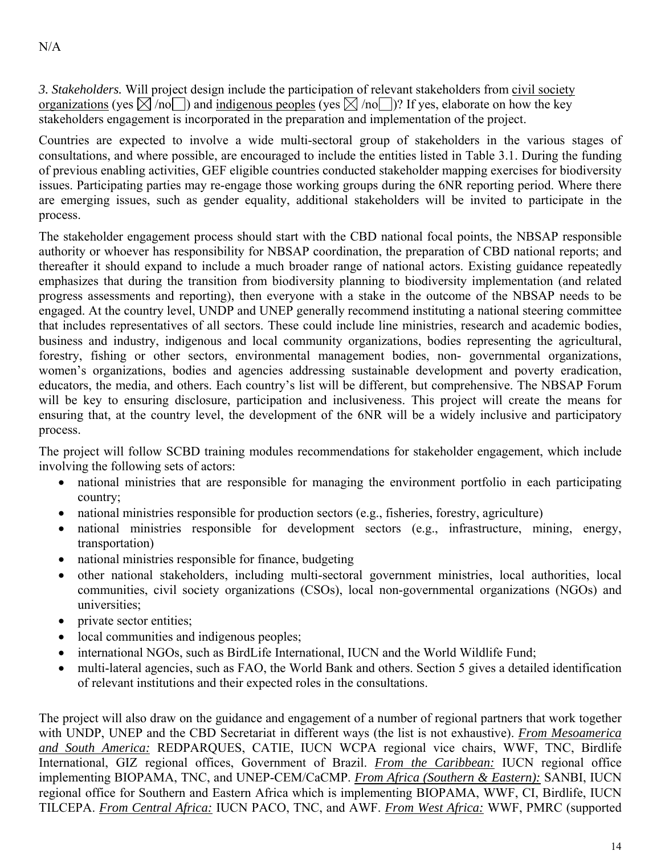*3. Stakeholders.* Will project design include the participation of relevant stakeholders from civil society organizations (yes  $\boxtimes$  /no ) and indigenous peoples (yes  $\boxtimes$  /no )? If yes, elaborate on how the key stakeholders engagement is incorporated in the preparation and implementation of the project.

Countries are expected to involve a wide multi-sectoral group of stakeholders in the various stages of consultations, and where possible, are encouraged to include the entities listed in Table 3.1. During the funding of previous enabling activities, GEF eligible countries conducted stakeholder mapping exercises for biodiversity issues. Participating parties may re-engage those working groups during the 6NR reporting period. Where there are emerging issues, such as gender equality, additional stakeholders will be invited to participate in the process.

The stakeholder engagement process should start with the CBD national focal points, the NBSAP responsible authority or whoever has responsibility for NBSAP coordination, the preparation of CBD national reports; and thereafter it should expand to include a much broader range of national actors. Existing guidance repeatedly emphasizes that during the transition from biodiversity planning to biodiversity implementation (and related progress assessments and reporting), then everyone with a stake in the outcome of the NBSAP needs to be engaged. At the country level, UNDP and UNEP generally recommend instituting a national steering committee that includes representatives of all sectors. These could include line ministries, research and academic bodies, business and industry, indigenous and local community organizations, bodies representing the agricultural, forestry, fishing or other sectors, environmental management bodies, non- governmental organizations, women's organizations, bodies and agencies addressing sustainable development and poverty eradication, educators, the media, and others. Each country's list will be different, but comprehensive. The NBSAP Forum will be key to ensuring disclosure, participation and inclusiveness. This project will create the means for ensuring that, at the country level, the development of the 6NR will be a widely inclusive and participatory process.

The project will follow SCBD training modules recommendations for stakeholder engagement, which include involving the following sets of actors:

- national ministries that are responsible for managing the environment portfolio in each participating country;
- national ministries responsible for production sectors (e.g., fisheries, forestry, agriculture)
- national ministries responsible for development sectors (e.g., infrastructure, mining, energy, transportation)
- national ministries responsible for finance, budgeting
- other national stakeholders, including multi-sectoral government ministries, local authorities, local communities, civil society organizations (CSOs), local non-governmental organizations (NGOs) and universities;
- private sector entities;
- local communities and indigenous peoples;
- international NGOs, such as BirdLife International, IUCN and the World Wildlife Fund;
- multi-lateral agencies, such as FAO, the World Bank and others. Section 5 gives a detailed identification of relevant institutions and their expected roles in the consultations.

The project will also draw on the guidance and engagement of a number of regional partners that work together with UNDP, UNEP and the CBD Secretariat in different ways (the list is not exhaustive). *From Mesoamerica and South America:* REDPARQUES, CATIE, IUCN WCPA regional vice chairs, WWF, TNC, Birdlife International, GIZ regional offices, Government of Brazil. *From the Caribbean:* IUCN regional office implementing BIOPAMA, TNC, and UNEP-CEM/CaCMP. *From Africa (Southern & Eastern):* SANBI, IUCN regional office for Southern and Eastern Africa which is implementing BIOPAMA, WWF, CI, Birdlife, IUCN TILCEPA. *From Central Africa:* IUCN PACO, TNC, and AWF. *From West Africa:* WWF, PMRC (supported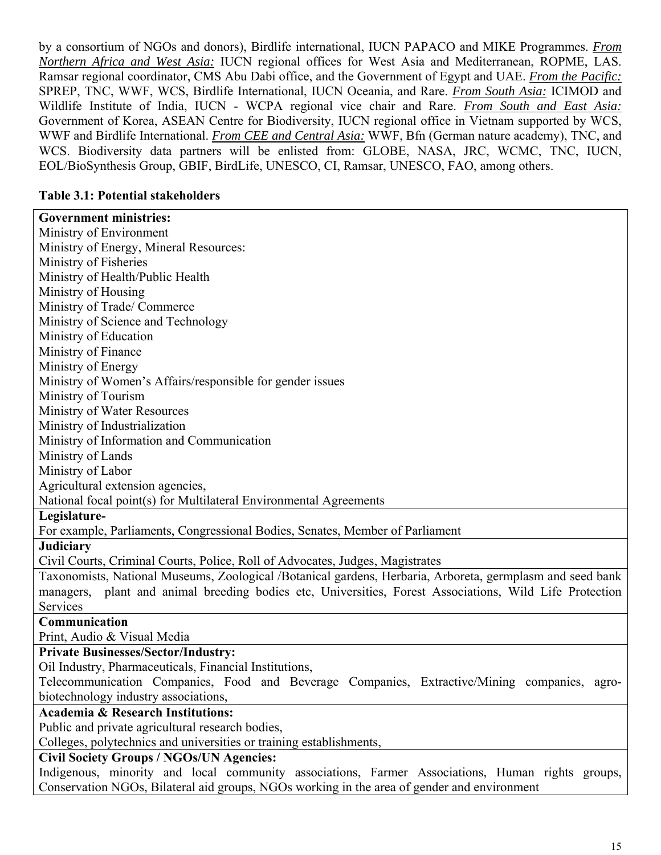by a consortium of NGOs and donors), Birdlife international, IUCN PAPACO and MIKE Programmes. *From Northern Africa and West Asia:* IUCN regional offices for West Asia and Mediterranean, ROPME, LAS. Ramsar regional coordinator, CMS Abu Dabi office, and the Government of Egypt and UAE. *From the Pacific:* SPREP, TNC, WWF, WCS, Birdlife International, IUCN Oceania, and Rare. *From South Asia:* ICIMOD and Wildlife Institute of India, IUCN - WCPA regional vice chair and Rare. *From South and East Asia:* Government of Korea, ASEAN Centre for Biodiversity, IUCN regional office in Vietnam supported by WCS, WWF and Birdlife International. *From CEE and Central Asia:* WWF, Bfn (German nature academy), TNC, and WCS. Biodiversity data partners will be enlisted from: GLOBE, NASA, JRC, WCMC, TNC, IUCN, EOL/BioSynthesis Group, GBIF, BirdLife, UNESCO, CI, Ramsar, UNESCO, FAO, among others.

## **Table 3.1: Potential stakeholders**

| <b>Government ministries:</b>                                                                              |
|------------------------------------------------------------------------------------------------------------|
| Ministry of Environment                                                                                    |
| Ministry of Energy, Mineral Resources:                                                                     |
| Ministry of Fisheries                                                                                      |
| Ministry of Health/Public Health                                                                           |
| Ministry of Housing                                                                                        |
| Ministry of Trade/Commerce                                                                                 |
| Ministry of Science and Technology                                                                         |
| Ministry of Education                                                                                      |
| Ministry of Finance                                                                                        |
| Ministry of Energy                                                                                         |
| Ministry of Women's Affairs/responsible for gender issues                                                  |
| Ministry of Tourism                                                                                        |
| Ministry of Water Resources                                                                                |
| Ministry of Industrialization                                                                              |
| Ministry of Information and Communication                                                                  |
| Ministry of Lands                                                                                          |
| Ministry of Labor                                                                                          |
| Agricultural extension agencies,                                                                           |
| National focal point(s) for Multilateral Environmental Agreements                                          |
| Legislature-                                                                                               |
| For example, Parliaments, Congressional Bodies, Senates, Member of Parliament                              |
| <b>Judiciary</b>                                                                                           |
| Civil Courts, Criminal Courts, Police, Roll of Advocates, Judges, Magistrates                              |
| Taxonomists, National Museums, Zoological /Botanical gardens, Herbaria, Arboreta, germplasm and seed bank  |
| plant and animal breeding bodies etc, Universities, Forest Associations, Wild Life Protection<br>managers, |
| Services                                                                                                   |
| Communication                                                                                              |
| Print, Audio & Visual Media                                                                                |
| <b>Private Businesses/Sector/Industry:</b>                                                                 |
| Oil Industry, Pharmaceuticals, Financial Institutions,                                                     |
| Telecommunication Companies, Food and Beverage Companies, Extractive/Mining companies, agro-               |
| biotechnology industry associations,                                                                       |
| <b>Academia &amp; Research Institutions:</b>                                                               |
| Public and private agricultural research bodies,                                                           |
| Colleges, polytechnics and universities or training establishments,                                        |
| <b>Civil Society Groups / NGOs/UN Agencies:</b>                                                            |
| Indigenous, minority and local community associations, Farmer Associations, Human rights groups,           |
| Conservation NGOs, Bilateral aid groups, NGOs working in the area of gender and environment                |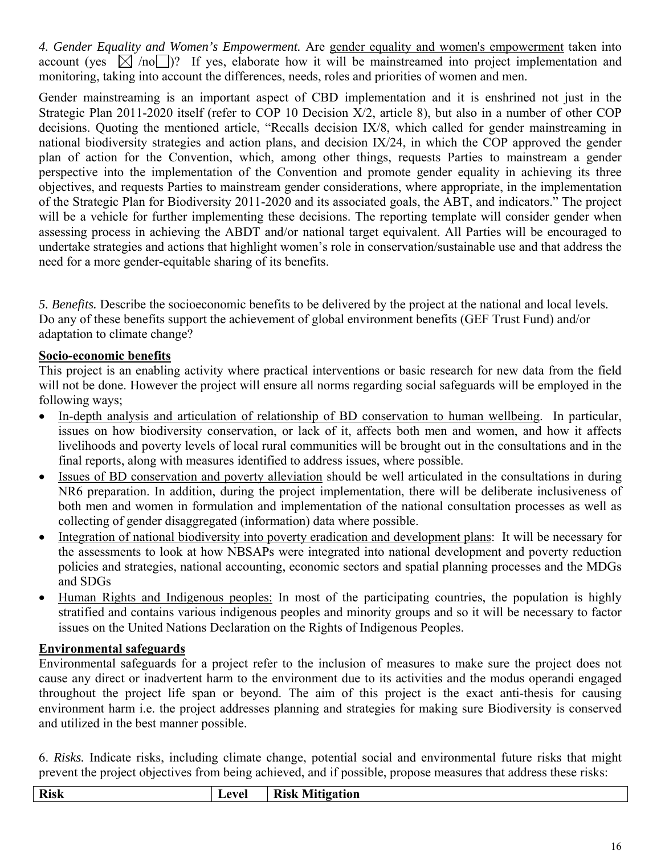*4. Gender Equality and Women's Empowerment.* Are gender equality and women's empowerment taken into account (yes  $\boxtimes$  /no )? If yes, elaborate how it will be mainstreamed into project implementation and monitoring, taking into account the differences, needs, roles and priorities of women and men.

Gender mainstreaming is an important aspect of CBD implementation and it is enshrined not just in the Strategic Plan 2011-2020 itself (refer to COP 10 Decision X/2, article 8), but also in a number of other COP decisions. Quoting the mentioned article, "Recalls decision IX/8, which called for gender mainstreaming in national biodiversity strategies and action plans, and decision IX/24, in which the COP approved the gender plan of action for the Convention, which, among other things, requests Parties to mainstream a gender perspective into the implementation of the Convention and promote gender equality in achieving its three objectives, and requests Parties to mainstream gender considerations, where appropriate, in the implementation of the Strategic Plan for Biodiversity 2011-2020 and its associated goals, the ABT, and indicators." The project will be a vehicle for further implementing these decisions. The reporting template will consider gender when assessing process in achieving the ABDT and/or national target equivalent. All Parties will be encouraged to undertake strategies and actions that highlight women's role in conservation/sustainable use and that address the need for a more gender-equitable sharing of its benefits.

*5. Benefits.* Describe the socioeconomic benefits to be delivered by the project at the national and local levels. Do any of these benefits support the achievement of global environment benefits (GEF Trust Fund) and/or adaptation to climate change?

## **Socio-economic benefits**

This project is an enabling activity where practical interventions or basic research for new data from the field will not be done. However the project will ensure all norms regarding social safeguards will be employed in the following ways;

- In-depth analysis and articulation of relationship of BD conservation to human wellbeing. In particular, issues on how biodiversity conservation, or lack of it, affects both men and women, and how it affects livelihoods and poverty levels of local rural communities will be brought out in the consultations and in the final reports, along with measures identified to address issues, where possible.
- Issues of BD conservation and poverty alleviation should be well articulated in the consultations in during NR6 preparation. In addition, during the project implementation, there will be deliberate inclusiveness of both men and women in formulation and implementation of the national consultation processes as well as collecting of gender disaggregated (information) data where possible.
- Integration of national biodiversity into poverty eradication and development plans: It will be necessary for the assessments to look at how NBSAPs were integrated into national development and poverty reduction policies and strategies, national accounting, economic sectors and spatial planning processes and the MDGs and SDGs
- Human Rights and Indigenous peoples: In most of the participating countries, the population is highly stratified and contains various indigenous peoples and minority groups and so it will be necessary to factor issues on the United Nations Declaration on the Rights of Indigenous Peoples.

## **Environmental safeguards**

Environmental safeguards for a project refer to the inclusion of measures to make sure the project does not cause any direct or inadvertent harm to the environment due to its activities and the modus operandi engaged throughout the project life span or beyond. The aim of this project is the exact anti-thesis for causing environment harm i.e. the project addresses planning and strategies for making sure Biodiversity is conserved and utilized in the best manner possible.

6. *Risks.* Indicate risks, including climate change, potential social and environmental future risks that might prevent the project objectives from being achieved, and if possible, propose measures that address these risks:

| <b>Risk</b> | eve | <b>Risk Mitigation</b> |
|-------------|-----|------------------------|
|             |     |                        |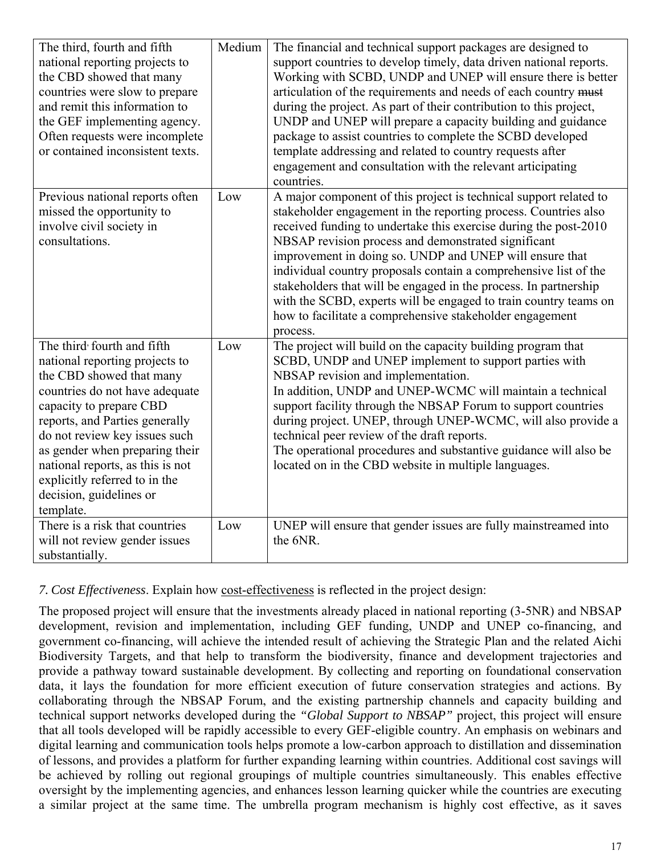| The third, fourth and fifth<br>national reporting projects to<br>the CBD showed that many<br>countries were slow to prepare<br>and remit this information to<br>the GEF implementing agency.<br>Often requests were incomplete<br>or contained inconsistent texts.                                                                                                      | Medium | The financial and technical support packages are designed to<br>support countries to develop timely, data driven national reports.<br>Working with SCBD, UNDP and UNEP will ensure there is better<br>articulation of the requirements and needs of each country must<br>during the project. As part of their contribution to this project,<br>UNDP and UNEP will prepare a capacity building and guidance<br>package to assist countries to complete the SCBD developed<br>template addressing and related to country requests after<br>engagement and consultation with the relevant articipating<br>countries. |
|-------------------------------------------------------------------------------------------------------------------------------------------------------------------------------------------------------------------------------------------------------------------------------------------------------------------------------------------------------------------------|--------|-------------------------------------------------------------------------------------------------------------------------------------------------------------------------------------------------------------------------------------------------------------------------------------------------------------------------------------------------------------------------------------------------------------------------------------------------------------------------------------------------------------------------------------------------------------------------------------------------------------------|
| Previous national reports often<br>missed the opportunity to<br>involve civil society in<br>consultations.                                                                                                                                                                                                                                                              | Low    | A major component of this project is technical support related to<br>stakeholder engagement in the reporting process. Countries also<br>received funding to undertake this exercise during the post-2010<br>NBSAP revision process and demonstrated significant<br>improvement in doing so. UNDP and UNEP will ensure that<br>individual country proposals contain a comprehensive list of the<br>stakeholders that will be engaged in the process. In partnership<br>with the SCBD, experts will be engaged to train country teams on<br>how to facilitate a comprehensive stakeholder engagement<br>process.    |
| The third fourth and fifth<br>national reporting projects to<br>the CBD showed that many<br>countries do not have adequate<br>capacity to prepare CBD<br>reports, and Parties generally<br>do not review key issues such<br>as gender when preparing their<br>national reports, as this is not<br>explicitly referred to in the<br>decision, guidelines or<br>template. | Low    | The project will build on the capacity building program that<br>SCBD, UNDP and UNEP implement to support parties with<br>NBSAP revision and implementation.<br>In addition, UNDP and UNEP-WCMC will maintain a technical<br>support facility through the NBSAP Forum to support countries<br>during project. UNEP, through UNEP-WCMC, will also provide a<br>technical peer review of the draft reports.<br>The operational procedures and substantive guidance will also be<br>located on in the CBD website in multiple languages.                                                                              |
| There is a risk that countries<br>will not review gender issues<br>substantially.                                                                                                                                                                                                                                                                                       | Low    | UNEP will ensure that gender issues are fully mainstreamed into<br>the 6NR.                                                                                                                                                                                                                                                                                                                                                                                                                                                                                                                                       |

## *7. Cost Effectiveness*. Explain how cost-effectiveness is reflected in the project design:

The proposed project will ensure that the investments already placed in national reporting (3-5NR) and NBSAP development, revision and implementation, including GEF funding, UNDP and UNEP co-financing, and government co-financing, will achieve the intended result of achieving the Strategic Plan and the related Aichi Biodiversity Targets, and that help to transform the biodiversity, finance and development trajectories and provide a pathway toward sustainable development. By collecting and reporting on foundational conservation data, it lays the foundation for more efficient execution of future conservation strategies and actions. By collaborating through the NBSAP Forum, and the existing partnership channels and capacity building and technical support networks developed during the *"Global Support to NBSAP"* project, this project will ensure that all tools developed will be rapidly accessible to every GEF-eligible country. An emphasis on webinars and digital learning and communication tools helps promote a low-carbon approach to distillation and dissemination of lessons, and provides a platform for further expanding learning within countries. Additional cost savings will be achieved by rolling out regional groupings of multiple countries simultaneously. This enables effective oversight by the implementing agencies, and enhances lesson learning quicker while the countries are executing a similar project at the same time. The umbrella program mechanism is highly cost effective, as it saves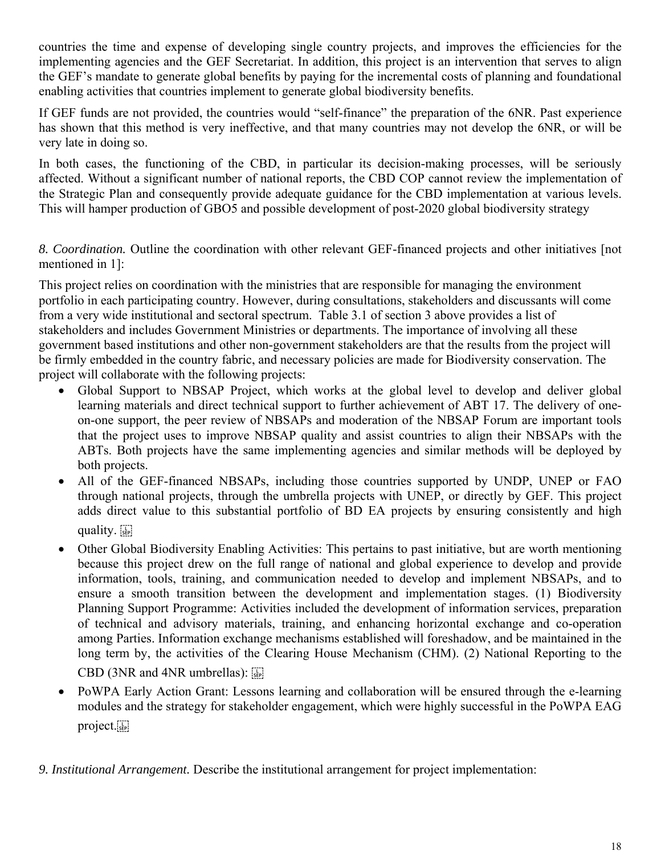countries the time and expense of developing single country projects, and improves the efficiencies for the implementing agencies and the GEF Secretariat. In addition, this project is an intervention that serves to align the GEF's mandate to generate global benefits by paying for the incremental costs of planning and foundational enabling activities that countries implement to generate global biodiversity benefits.

If GEF funds are not provided, the countries would "self-finance" the preparation of the 6NR. Past experience has shown that this method is very ineffective, and that many countries may not develop the 6NR, or will be very late in doing so.

In both cases, the functioning of the CBD, in particular its decision-making processes, will be seriously affected. Without a significant number of national reports, the CBD COP cannot review the implementation of the Strategic Plan and consequently provide adequate guidance for the CBD implementation at various levels. This will hamper production of GBO5 and possible development of post-2020 global biodiversity strategy

*8. Coordination.* Outline the coordination with other relevant GEF-financed projects and other initiatives [not mentioned in 1]:

This project relies on coordination with the ministries that are responsible for managing the environment portfolio in each participating country. However, during consultations, stakeholders and discussants will come from a very wide institutional and sectoral spectrum. Table 3.1 of section 3 above provides a list of stakeholders and includes Government Ministries or departments. The importance of involving all these government based institutions and other non-government stakeholders are that the results from the project will be firmly embedded in the country fabric, and necessary policies are made for Biodiversity conservation. The project will collaborate with the following projects:

- Global Support to NBSAP Project, which works at the global level to develop and deliver global learning materials and direct technical support to further achievement of ABT 17. The delivery of oneon-one support, the peer review of NBSAPs and moderation of the NBSAP Forum are important tools that the project uses to improve NBSAP quality and assist countries to align their NBSAPs with the ABTs. Both projects have the same implementing agencies and similar methods will be deployed by both projects.
- All of the GEF-financed NBSAPs, including those countries supported by UNDP, UNEP or FAO through national projects, through the umbrella projects with UNEP, or directly by GEF. This project adds direct value to this substantial portfolio of BD EA projects by ensuring consistently and high quality.
- Other Global Biodiversity Enabling Activities: This pertains to past initiative, but are worth mentioning because this project drew on the full range of national and global experience to develop and provide information, tools, training, and communication needed to develop and implement NBSAPs, and to ensure a smooth transition between the development and implementation stages. (1) Biodiversity Planning Support Programme: Activities included the development of information services, preparation of technical and advisory materials, training, and enhancing horizontal exchange and co-operation among Parties. Information exchange mechanisms established will foreshadow, and be maintained in the long term by, the activities of the Clearing House Mechanism (CHM). (2) National Reporting to the

CBD (3NR and 4NR umbrellas):  $\overline{\mathbb{G}}$ 

 PoWPA Early Action Grant: Lessons learning and collaboration will be ensured through the e-learning modules and the strategy for stakeholder engagement, which were highly successful in the PoWPA EAG project.

*9. Institutional Arrangement.* Describe the institutional arrangement for project implementation: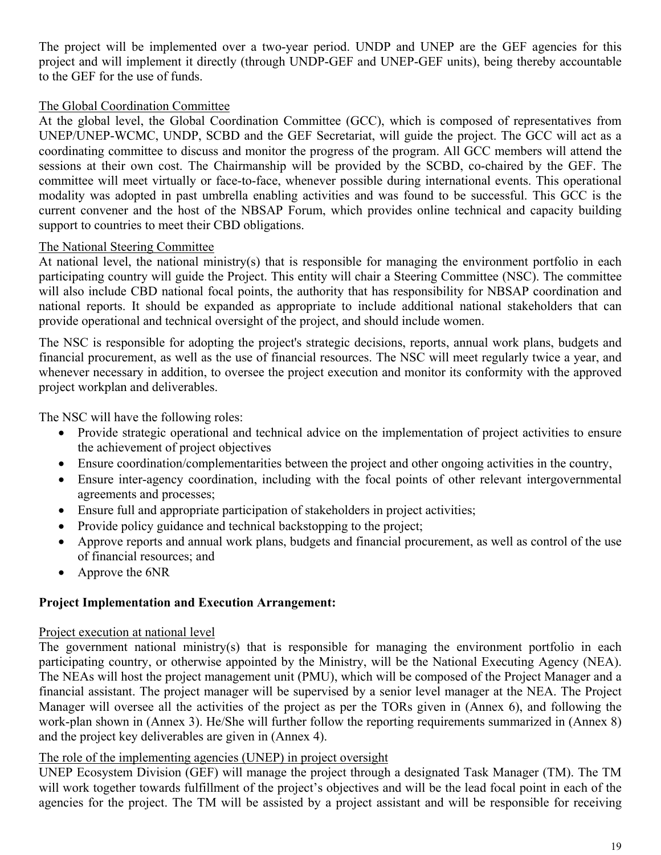The project will be implemented over a two-year period. UNDP and UNEP are the GEF agencies for this project and will implement it directly (through UNDP-GEF and UNEP-GEF units), being thereby accountable to the GEF for the use of funds.

## The Global Coordination Committee

At the global level, the Global Coordination Committee (GCC), which is composed of representatives from UNEP/UNEP-WCMC, UNDP, SCBD and the GEF Secretariat, will guide the project. The GCC will act as a coordinating committee to discuss and monitor the progress of the program. All GCC members will attend the sessions at their own cost. The Chairmanship will be provided by the SCBD, co-chaired by the GEF. The committee will meet virtually or face-to-face, whenever possible during international events. This operational modality was adopted in past umbrella enabling activities and was found to be successful. This GCC is the current convener and the host of the NBSAP Forum, which provides online technical and capacity building support to countries to meet their CBD obligations.

#### The National Steering Committee

At national level, the national ministry(s) that is responsible for managing the environment portfolio in each participating country will guide the Project. This entity will chair a Steering Committee (NSC). The committee will also include CBD national focal points, the authority that has responsibility for NBSAP coordination and national reports. It should be expanded as appropriate to include additional national stakeholders that can provide operational and technical oversight of the project, and should include women.

The NSC is responsible for adopting the project's strategic decisions, reports, annual work plans, budgets and financial procurement, as well as the use of financial resources. The NSC will meet regularly twice a year, and whenever necessary in addition, to oversee the project execution and monitor its conformity with the approved project workplan and deliverables.

The NSC will have the following roles:

- Provide strategic operational and technical advice on the implementation of project activities to ensure the achievement of project objectives
- Ensure coordination/complementarities between the project and other ongoing activities in the country,
- Ensure inter-agency coordination, including with the focal points of other relevant intergovernmental agreements and processes;
- Ensure full and appropriate participation of stakeholders in project activities;
- Provide policy guidance and technical backstopping to the project;
- Approve reports and annual work plans, budgets and financial procurement, as well as control of the use of financial resources; and
- Approve the 6NR

## **Project Implementation and Execution Arrangement:**

## Project execution at national level

The government national ministry(s) that is responsible for managing the environment portfolio in each participating country, or otherwise appointed by the Ministry, will be the National Executing Agency (NEA). The NEAs will host the project management unit (PMU), which will be composed of the Project Manager and a financial assistant. The project manager will be supervised by a senior level manager at the NEA. The Project Manager will oversee all the activities of the project as per the TORs given in (Annex 6), and following the work-plan shown in (Annex 3). He/She will further follow the reporting requirements summarized in (Annex 8) and the project key deliverables are given in (Annex 4).

#### The role of the implementing agencies (UNEP) in project oversight

UNEP Ecosystem Division (GEF) will manage the project through a designated Task Manager (TM). The TM will work together towards fulfillment of the project's objectives and will be the lead focal point in each of the agencies for the project. The TM will be assisted by a project assistant and will be responsible for receiving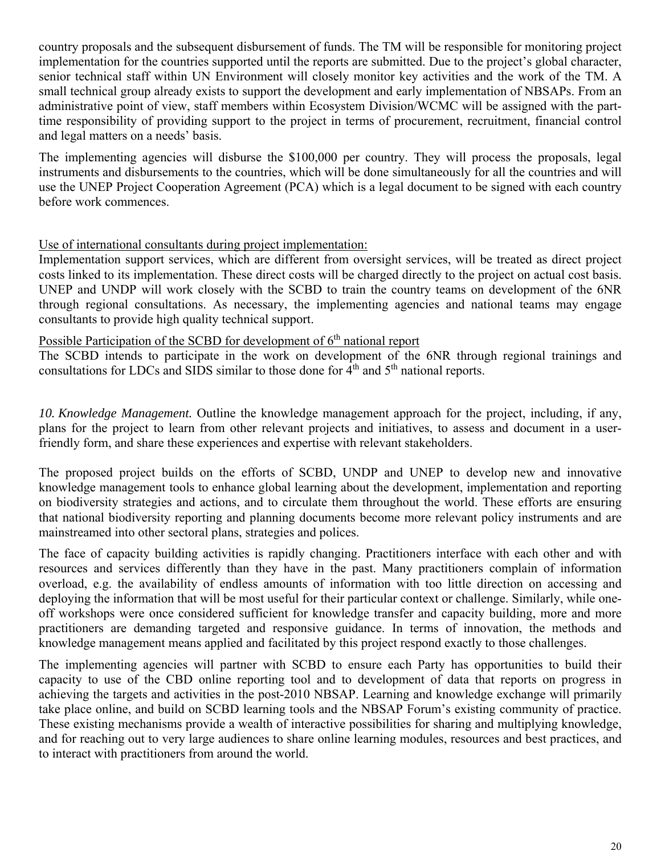country proposals and the subsequent disbursement of funds. The TM will be responsible for monitoring project implementation for the countries supported until the reports are submitted. Due to the project's global character, senior technical staff within UN Environment will closely monitor key activities and the work of the TM. A small technical group already exists to support the development and early implementation of NBSAPs. From an administrative point of view, staff members within Ecosystem Division/WCMC will be assigned with the parttime responsibility of providing support to the project in terms of procurement, recruitment, financial control and legal matters on a needs' basis.

The implementing agencies will disburse the \$100,000 per country. They will process the proposals, legal instruments and disbursements to the countries, which will be done simultaneously for all the countries and will use the UNEP Project Cooperation Agreement (PCA) which is a legal document to be signed with each country before work commences.

## Use of international consultants during project implementation:

Implementation support services, which are different from oversight services, will be treated as direct project costs linked to its implementation. These direct costs will be charged directly to the project on actual cost basis. UNEP and UNDP will work closely with the SCBD to train the country teams on development of the 6NR through regional consultations. As necessary, the implementing agencies and national teams may engage consultants to provide high quality technical support.

## Possible Participation of the SCBD for development of 6<sup>th</sup> national report

The SCBD intends to participate in the work on development of the 6NR through regional trainings and consultations for LDCs and SIDS similar to those done for  $\overline{4}^{\text{th}}$  and  $\overline{5}^{\text{th}}$  national reports.

*10. Knowledge Management.* Outline the knowledge management approach for the project, including, if any, plans for the project to learn from other relevant projects and initiatives, to assess and document in a userfriendly form, and share these experiences and expertise with relevant stakeholders.

The proposed project builds on the efforts of SCBD, UNDP and UNEP to develop new and innovative knowledge management tools to enhance global learning about the development, implementation and reporting on biodiversity strategies and actions, and to circulate them throughout the world. These efforts are ensuring that national biodiversity reporting and planning documents become more relevant policy instruments and are mainstreamed into other sectoral plans, strategies and polices.

The face of capacity building activities is rapidly changing. Practitioners interface with each other and with resources and services differently than they have in the past. Many practitioners complain of information overload, e.g. the availability of endless amounts of information with too little direction on accessing and deploying the information that will be most useful for their particular context or challenge. Similarly, while oneoff workshops were once considered sufficient for knowledge transfer and capacity building, more and more practitioners are demanding targeted and responsive guidance. In terms of innovation, the methods and knowledge management means applied and facilitated by this project respond exactly to those challenges.

The implementing agencies will partner with SCBD to ensure each Party has opportunities to build their capacity to use of the CBD online reporting tool and to development of data that reports on progress in achieving the targets and activities in the post-2010 NBSAP. Learning and knowledge exchange will primarily take place online, and build on SCBD learning tools and the NBSAP Forum's existing community of practice. These existing mechanisms provide a wealth of interactive possibilities for sharing and multiplying knowledge, and for reaching out to very large audiences to share online learning modules, resources and best practices, and to interact with practitioners from around the world.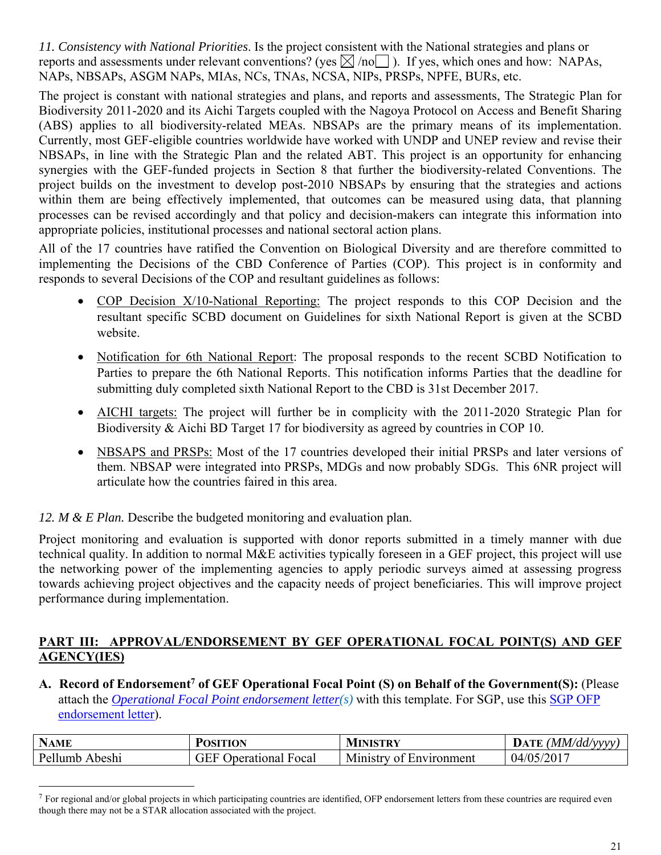*11. Consistency with National Priorities*. Is the project consistent with the National strategies and plans or reports and assessments under relevant conventions? (yes  $\boxtimes$  /no ). If yes, which ones and how: NAPAs, NAPs, NBSAPs, ASGM NAPs, MIAs, NCs, TNAs, NCSA, NIPs, PRSPs, NPFE, BURs, etc.

The project is constant with national strategies and plans, and reports and assessments, The Strategic Plan for Biodiversity 2011-2020 and its Aichi Targets coupled with the Nagoya Protocol on Access and Benefit Sharing (ABS) applies to all biodiversity-related MEAs. NBSAPs are the primary means of its implementation. Currently, most GEF-eligible countries worldwide have worked with UNDP and UNEP review and revise their NBSAPs, in line with the Strategic Plan and the related ABT. This project is an opportunity for enhancing synergies with the GEF-funded projects in Section 8 that further the biodiversity-related Conventions. The project builds on the investment to develop post-2010 NBSAPs by ensuring that the strategies and actions within them are being effectively implemented, that outcomes can be measured using data, that planning processes can be revised accordingly and that policy and decision-makers can integrate this information into appropriate policies, institutional processes and national sectoral action plans.

All of the 17 countries have ratified the Convention on Biological Diversity and are therefore committed to implementing the Decisions of the CBD Conference of Parties (COP). This project is in conformity and responds to several Decisions of the COP and resultant guidelines as follows:

- COP Decision X/10-National Reporting: The project responds to this COP Decision and the resultant specific SCBD document on Guidelines for sixth National Report is given at the SCBD website.
- Notification for 6th National Report: The proposal responds to the recent SCBD Notification to Parties to prepare the 6th National Reports. This notification informs Parties that the deadline for submitting duly completed sixth National Report to the CBD is 31st December 2017.
- AICHI targets: The project will further be in complicity with the 2011-2020 Strategic Plan for Biodiversity & Aichi BD Target 17 for biodiversity as agreed by countries in COP 10.
- NBSAPS and PRSPs: Most of the 17 countries developed their initial PRSPs and later versions of them. NBSAP were integrated into PRSPs, MDGs and now probably SDGs. This 6NR project will articulate how the countries faired in this area.

*12. M & E Plan.* Describe the budgeted monitoring and evaluation plan.

 $\overline{a}$ 

Project monitoring and evaluation is supported with donor reports submitted in a timely manner with due technical quality. In addition to normal M&E activities typically foreseen in a GEF project, this project will use the networking power of the implementing agencies to apply periodic surveys aimed at assessing progress towards achieving project objectives and the capacity needs of project beneficiaries. This will improve project performance during implementation.

## **PART III: APPROVAL/ENDORSEMENT BY GEF OPERATIONAL FOCAL POINT(S) AND GEF AGENCY(IES)**

A. Record of Endorsement<sup>7</sup> of GEF Operational Focal Point (S) on Behalf of the Government(S): (Please attach the *Operational Focal Point endorsement letter(s)* with this template. For SGP, use this SGP OFP endorsement letter).

| <b>NAME</b>        | POSITION                 | <b>MINISTRY</b>         | (MM/dd/vvvv<br>DATE |
|--------------------|--------------------------|-------------------------|---------------------|
| Pellumb.<br>Abeshi | Jperational Focal<br>jEl | Ministry of Environment | 04/05/2017          |

 $^7$  For regional and/or global projects in which participating countries are identified, OFP endorsement letters from these countries are required even though there may not be a STAR allocation associated with the project.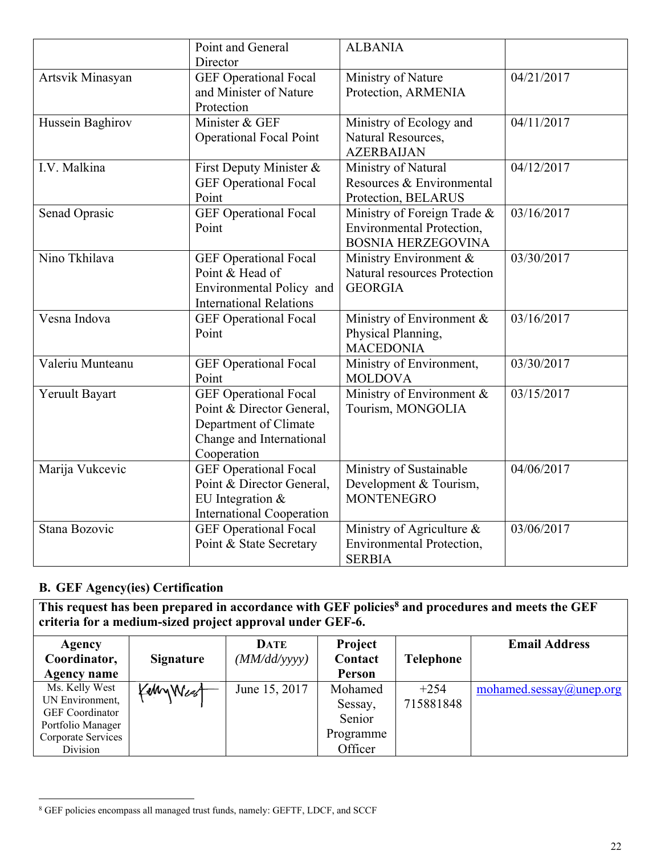|                  | Point and General<br>Director                                                                                                 | <b>ALBANIA</b>                                                                               |            |
|------------------|-------------------------------------------------------------------------------------------------------------------------------|----------------------------------------------------------------------------------------------|------------|
| Artsvik Minasyan | <b>GEF</b> Operational Focal<br>and Minister of Nature<br>Protection                                                          | Ministry of Nature<br>Protection, ARMENIA                                                    | 04/21/2017 |
| Hussein Baghirov | Minister & GEF<br><b>Operational Focal Point</b>                                                                              | Ministry of Ecology and<br>Natural Resources,<br><b>AZERBAIJAN</b>                           | 04/11/2017 |
| I.V. Malkina     | First Deputy Minister &<br><b>GEF</b> Operational Focal<br>Point                                                              | Ministry of Natural<br>Resources & Environmental<br>Protection, BELARUS                      | 04/12/2017 |
| Senad Oprasic    | <b>GEF</b> Operational Focal<br>Point                                                                                         | Ministry of Foreign Trade &<br><b>Environmental Protection,</b><br><b>BOSNIA HERZEGOVINA</b> | 03/16/2017 |
| Nino Tkhilava    | <b>GEF</b> Operational Focal<br>Point & Head of<br>Environmental Policy and<br><b>International Relations</b>                 | Ministry Environment &<br>Natural resources Protection<br><b>GEORGIA</b>                     | 03/30/2017 |
| Vesna Indova     | <b>GEF</b> Operational Focal<br>Point                                                                                         | Ministry of Environment &<br>Physical Planning,<br><b>MACEDONIA</b>                          | 03/16/2017 |
| Valeriu Munteanu | <b>GEF</b> Operational Focal<br>Point                                                                                         | Ministry of Environment,<br><b>MOLDOVA</b>                                                   | 03/30/2017 |
| Yeruult Bayart   | <b>GEF</b> Operational Focal<br>Point & Director General,<br>Department of Climate<br>Change and International<br>Cooperation | Ministry of Environment &<br>Tourism, MONGOLIA                                               | 03/15/2017 |
| Marija Vukcevic  | <b>GEF</b> Operational Focal<br>Point & Director General,<br>EU Integration $&$<br><b>International Cooperation</b>           | Ministry of Sustainable<br>Development & Tourism,<br><b>MONTENEGRO</b>                       | 04/06/2017 |
| Stana Bozovic    | <b>GEF</b> Operational Focal<br>Point & State Secretary                                                                       | Ministry of Agriculture &<br><b>Environmental Protection,</b><br><b>SERBIA</b>               | 03/06/2017 |

## **B. GEF Agency(ies) Certification**

This request has been prepared in accordance with GEF policies<sup>8</sup> and procedures and meets the GEF **criteria for a medium-sized project approval under GEF-6.** 

| Agency                 |                  | DATE          | Project       |           | <b>Email Address</b>       |
|------------------------|------------------|---------------|---------------|-----------|----------------------------|
| Coordinator,           | <b>Signature</b> | (MM/dd/yyyy)  | Contact       | Telephone |                            |
| Agency name            |                  |               | <b>Person</b> |           |                            |
| Ms. Kelly West         | KellyWest        | June 15, 2017 | Mohamed       | $+254$    | $mohamed.sessay@$ unep.org |
| UN Environment,        |                  |               | Sessay,       | 715881848 |                            |
| <b>GEF</b> Coordinator |                  |               | Senior        |           |                            |
| Portfolio Manager      |                  |               |               |           |                            |
| Corporate Services     |                  |               | Programme     |           |                            |
| Division               |                  |               | Officer       |           |                            |

 $\overline{a}$ 8 GEF policies encompass all managed trust funds, namely: GEFTF, LDCF, and SCCF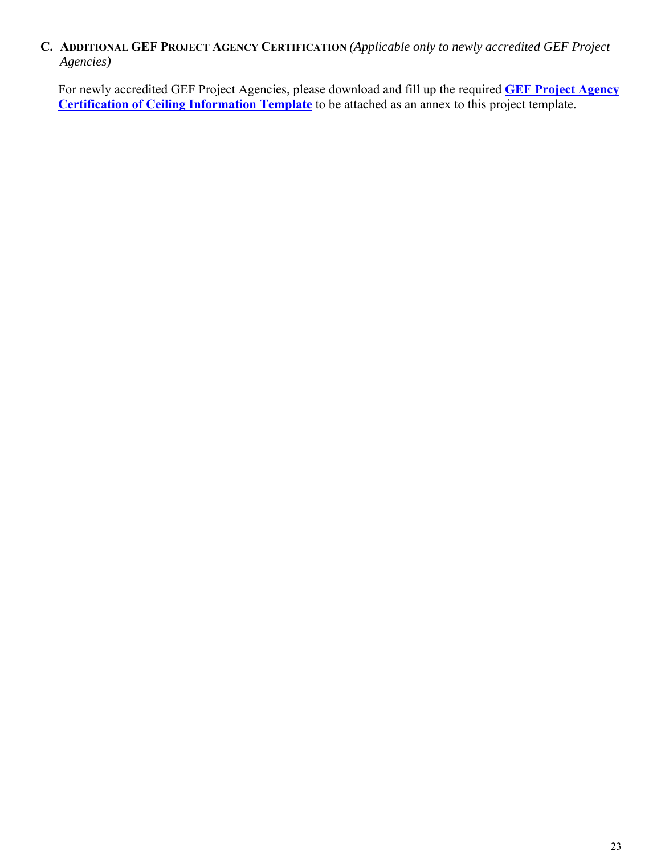## **C. ADDITIONAL GEF PROJECT AGENCY CERTIFICATION** *(Applicable only to newly accredited GEF Project Agencies)*

For newly accredited GEF Project Agencies, please download and fill up the required **GEF Project Agency Certification of Ceiling Information Template** to be attached as an annex to this project template.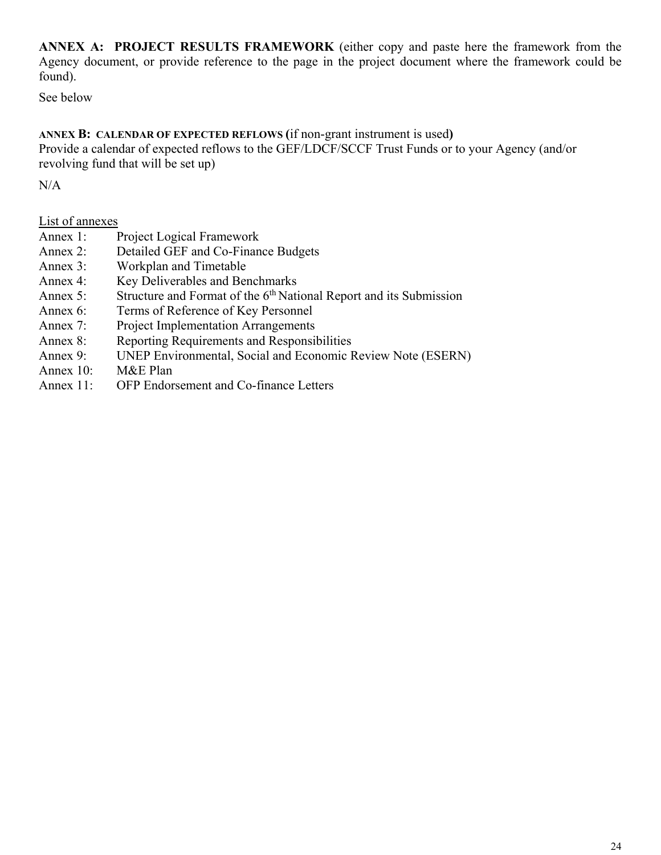**ANNEX A: PROJECT RESULTS FRAMEWORK** (either copy and paste here the framework from the Agency document, or provide reference to the page in the project document where the framework could be found).

See below

## **ANNEX B: CALENDAR OF EXPECTED REFLOWS (**if non-grant instrument is used**)**

Provide a calendar of expected reflows to the GEF/LDCF/SCCF Trust Funds or to your Agency (and/or revolving fund that will be set up)

N/A

## List of annexes

- Annex 1: Project Logical Framework
- Annex 2: Detailed GEF and Co-Finance Budgets
- Annex 3: Workplan and Timetable
- Annex 4: Key Deliverables and Benchmarks
- Annex 5: Structure and Format of the  $6<sup>th</sup>$  National Report and its Submission
- Annex 6: Terms of Reference of Key Personnel
- Annex 7: Project Implementation Arrangements
- Annex 8: Reporting Requirements and Responsibilities
- Annex 9: UNEP Environmental, Social and Economic Review Note (ESERN)
- Annex 10: M&E Plan
- Annex 11: OFP Endorsement and Co-finance Letters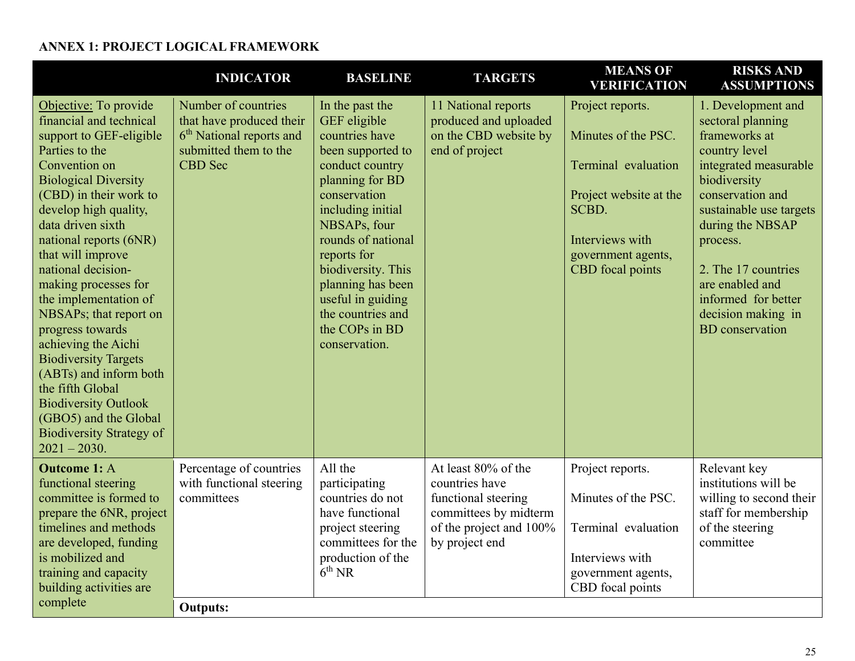## **ANNEX 1: PROJECT LOGICAL FRAMEWORK**

|                                                                                                                                                                                                                                                                                                                                                                                                                                                                                                                                                                                                            | <b>INDICATOR</b>                                                                                                                   | <b>BASELINE</b>                                                                                                                                                                                                                                                                                                                | <b>TARGETS</b>                                                                                                                     | <b>MEANS OF</b><br><b>VERIFICATION</b>                                                                                                                         | <b>RISKS AND</b><br><b>ASSUMPTIONS</b>                                                                                                                                                                                                                                                                             |
|------------------------------------------------------------------------------------------------------------------------------------------------------------------------------------------------------------------------------------------------------------------------------------------------------------------------------------------------------------------------------------------------------------------------------------------------------------------------------------------------------------------------------------------------------------------------------------------------------------|------------------------------------------------------------------------------------------------------------------------------------|--------------------------------------------------------------------------------------------------------------------------------------------------------------------------------------------------------------------------------------------------------------------------------------------------------------------------------|------------------------------------------------------------------------------------------------------------------------------------|----------------------------------------------------------------------------------------------------------------------------------------------------------------|--------------------------------------------------------------------------------------------------------------------------------------------------------------------------------------------------------------------------------------------------------------------------------------------------------------------|
| Objective: To provide<br>financial and technical<br>support to GEF-eligible<br>Parties to the<br>Convention on<br><b>Biological Diversity</b><br>(CBD) in their work to<br>develop high quality,<br>data driven sixth<br>national reports (6NR)<br>that will improve<br>national decision-<br>making processes for<br>the implementation of<br>NBSAPs; that report on<br>progress towards<br>achieving the Aichi<br><b>Biodiversity Targets</b><br>(ABTs) and inform both<br>the fifth Global<br><b>Biodiversity Outlook</b><br>(GBO5) and the Global<br><b>Biodiversity Strategy of</b><br>$2021 - 2030.$ | Number of countries<br>that have produced their<br>6 <sup>th</sup> National reports and<br>submitted them to the<br><b>CBD</b> Sec | In the past the<br>GEF eligible<br>countries have<br>been supported to<br>conduct country<br>planning for BD<br>conservation<br>including initial<br>NBSAPs, four<br>rounds of national<br>reports for<br>biodiversity. This<br>planning has been<br>useful in guiding<br>the countries and<br>the COPs in BD<br>conservation. | 11 National reports<br>produced and uploaded<br>on the CBD website by<br>end of project                                            | Project reports.<br>Minutes of the PSC.<br>Terminal evaluation<br>Project website at the<br>SCBD.<br>Interviews with<br>government agents,<br>CBD focal points | 1. Development and<br>sectoral planning<br>frameworks at<br>country level<br>integrated measurable<br>biodiversity<br>conservation and<br>sustainable use targets<br>during the NBSAP<br>process.<br>2. The 17 countries<br>are enabled and<br>informed for better<br>decision making in<br><b>BD</b> conservation |
| <b>Outcome 1: A</b><br>functional steering<br>committee is formed to<br>prepare the 6NR, project<br>timelines and methods<br>are developed, funding<br>is mobilized and<br>training and capacity<br>building activities are<br>complete                                                                                                                                                                                                                                                                                                                                                                    | Percentage of countries<br>with functional steering<br>committees<br><b>Outputs:</b>                                               | All the<br>participating<br>countries do not<br>have functional<br>project steering<br>committees for the<br>production of the<br>$6^{\text{th}}$ NR                                                                                                                                                                           | At least 80% of the<br>countries have<br>functional steering<br>committees by midterm<br>of the project and 100%<br>by project end | Project reports.<br>Minutes of the PSC.<br>Terminal evaluation<br>Interviews with<br>government agents,<br>CBD focal points                                    | Relevant key<br>institutions will be<br>willing to second their<br>staff for membership<br>of the steering<br>committee                                                                                                                                                                                            |
|                                                                                                                                                                                                                                                                                                                                                                                                                                                                                                                                                                                                            |                                                                                                                                    |                                                                                                                                                                                                                                                                                                                                |                                                                                                                                    |                                                                                                                                                                |                                                                                                                                                                                                                                                                                                                    |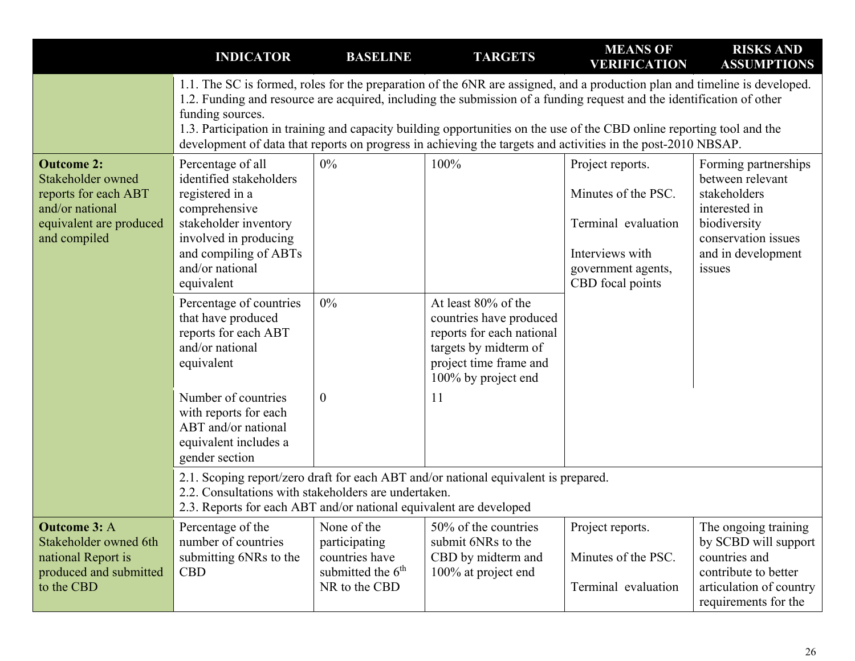|                                                                                                                              | <b>INDICATOR</b>                                                                                                                                                                             | <b>BASELINE</b>                                                                        | <b>TARGETS</b>                                                                                                                                                                                                                                                                                                                                                                                                                                                                                | <b>MEANS OF</b><br><b>VERIFICATION</b>                                                                                      | <b>RISKS AND</b><br><b>ASSUMPTIONS</b>                                                                                                           |  |  |  |  |
|------------------------------------------------------------------------------------------------------------------------------|----------------------------------------------------------------------------------------------------------------------------------------------------------------------------------------------|----------------------------------------------------------------------------------------|-----------------------------------------------------------------------------------------------------------------------------------------------------------------------------------------------------------------------------------------------------------------------------------------------------------------------------------------------------------------------------------------------------------------------------------------------------------------------------------------------|-----------------------------------------------------------------------------------------------------------------------------|--------------------------------------------------------------------------------------------------------------------------------------------------|--|--|--|--|
|                                                                                                                              | funding sources.                                                                                                                                                                             |                                                                                        | 1.1. The SC is formed, roles for the preparation of the 6NR are assigned, and a production plan and timeline is developed.<br>1.2. Funding and resource are acquired, including the submission of a funding request and the identification of other<br>1.3. Participation in training and capacity building opportunities on the use of the CBD online reporting tool and the<br>development of data that reports on progress in achieving the targets and activities in the post-2010 NBSAP. |                                                                                                                             |                                                                                                                                                  |  |  |  |  |
| <b>Outcome 2:</b><br>Stakeholder owned<br>reports for each ABT<br>and/or national<br>equivalent are produced<br>and compiled | Percentage of all<br>identified stakeholders<br>registered in a<br>comprehensive<br>stakeholder inventory<br>involved in producing<br>and compiling of ABTs<br>and/or national<br>equivalent | $0\%$                                                                                  | 100%                                                                                                                                                                                                                                                                                                                                                                                                                                                                                          | Project reports.<br>Minutes of the PSC.<br>Terminal evaluation<br>Interviews with<br>government agents,<br>CBD focal points | Forming partnerships<br>between relevant<br>stakeholders<br>interested in<br>biodiversity<br>conservation issues<br>and in development<br>issues |  |  |  |  |
|                                                                                                                              | Percentage of countries<br>that have produced<br>reports for each ABT<br>and/or national<br>equivalent                                                                                       | $0\%$                                                                                  | At least 80% of the<br>countries have produced<br>reports for each national<br>targets by midterm of<br>project time frame and<br>100% by project end                                                                                                                                                                                                                                                                                                                                         |                                                                                                                             |                                                                                                                                                  |  |  |  |  |
|                                                                                                                              | Number of countries<br>with reports for each<br>ABT and/or national<br>equivalent includes a<br>gender section                                                                               | $\overline{0}$                                                                         | <sup>11</sup>                                                                                                                                                                                                                                                                                                                                                                                                                                                                                 |                                                                                                                             |                                                                                                                                                  |  |  |  |  |
|                                                                                                                              | 2.2. Consultations with stakeholders are undertaken.<br>2.3. Reports for each ABT and/or national equivalent are developed                                                                   |                                                                                        | 2.1. Scoping report/zero draft for each ABT and/or national equivalent is prepared.                                                                                                                                                                                                                                                                                                                                                                                                           |                                                                                                                             |                                                                                                                                                  |  |  |  |  |
| <b>Outcome 3: A</b><br>Stakeholder owned 6th<br>national Report is<br>produced and submitted<br>to the CBD                   | Percentage of the<br>number of countries<br>submitting 6NRs to the<br><b>CBD</b>                                                                                                             | None of the<br>participating<br>countries have<br>submitted the $6th$<br>NR to the CBD | 50% of the countries<br>submit 6NRs to the<br>CBD by midterm and<br>100% at project end                                                                                                                                                                                                                                                                                                                                                                                                       | Project reports.<br>Minutes of the PSC.<br>Terminal evaluation                                                              | The ongoing training<br>by SCBD will support<br>countries and<br>contribute to better<br>articulation of country<br>requirements for the         |  |  |  |  |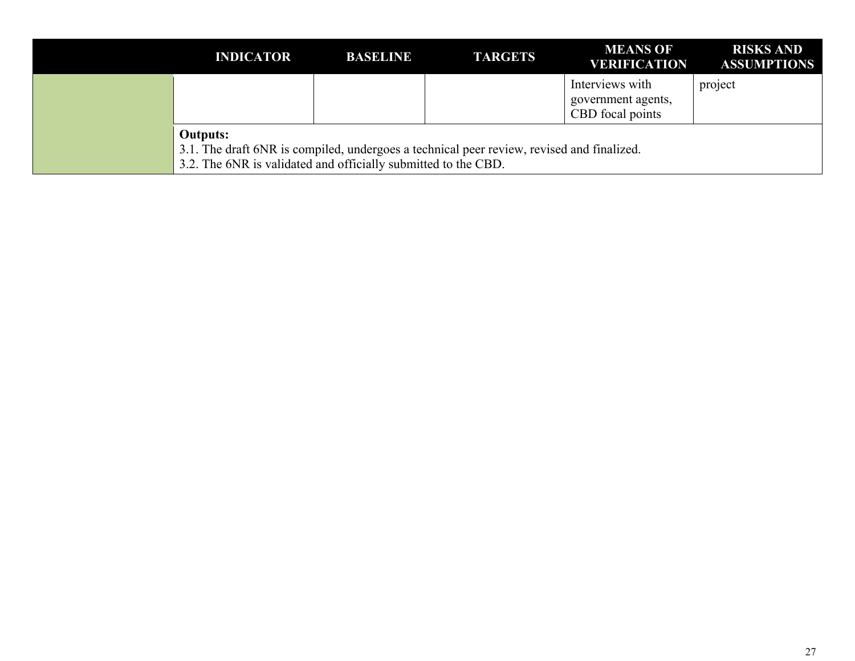| <b>INDICATOR</b>                                                                                                                                                               | <b>BASELINE</b> | <b>TARGETS</b> | <b>MEANS OF</b><br><b>VERIFICATION</b>                    | <b>RISKS AND</b><br><b>ASSUMPTIONS</b> |
|--------------------------------------------------------------------------------------------------------------------------------------------------------------------------------|-----------------|----------------|-----------------------------------------------------------|----------------------------------------|
|                                                                                                                                                                                |                 |                | Interviews with<br>government agents,<br>CBD focal points | project                                |
| <b>Outputs:</b><br>3.1. The draft 6NR is compiled, undergoes a technical peer review, revised and finalized.<br>3.2. The 6NR is validated and officially submitted to the CBD. |                 |                |                                                           |                                        |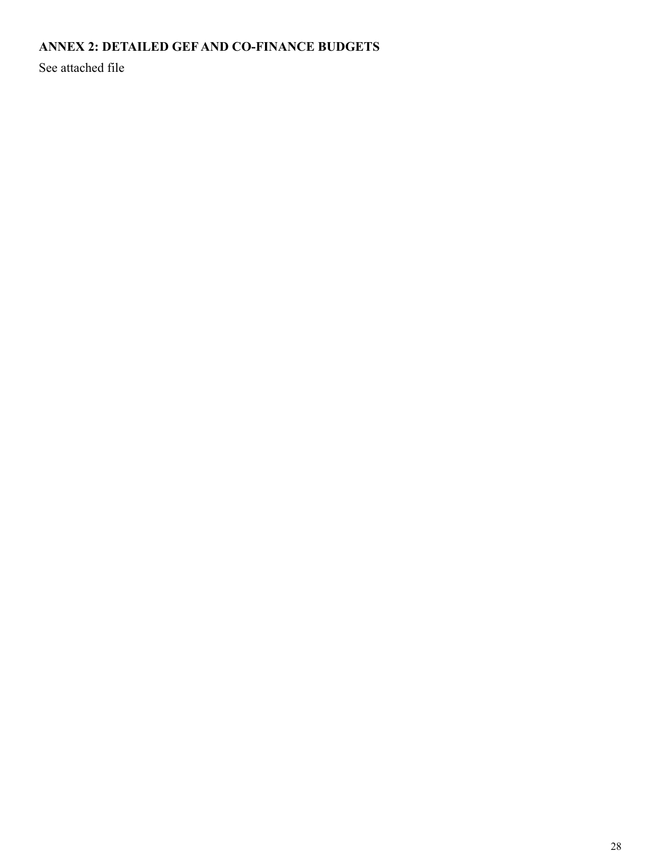## **ANNEX 2: DETAILED GEF AND CO-FINANCE BUDGETS**

See attached file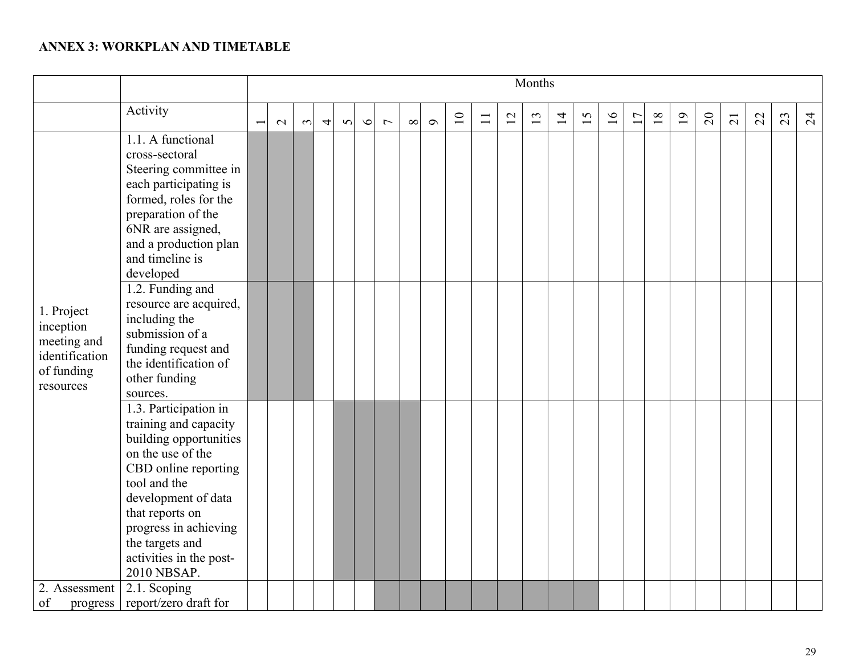#### **ANNEX 3: WORKPLAN AND TIMETABLE**

|                                                                                     |                                                                                                                                                                                                                                                                       | Months |        |                |          |         |                |          |          |    |        |    |    |                |    |        |    |    |    |                |                 |    |    |                 |
|-------------------------------------------------------------------------------------|-----------------------------------------------------------------------------------------------------------------------------------------------------------------------------------------------------------------------------------------------------------------------|--------|--------|----------------|----------|---------|----------------|----------|----------|----|--------|----|----|----------------|----|--------|----|----|----|----------------|-----------------|----|----|-----------------|
|                                                                                     | Activity                                                                                                                                                                                                                                                              | $\sim$ | $\sim$ | $\overline{4}$ | $\Omega$ | $\circ$ | $\overline{ }$ | $\infty$ | $\sigma$ | 10 | $\Box$ | 12 | 13 | $\overline{1}$ | 15 | $16\,$ | 17 | 18 | 19 | $\overline{c}$ | $\overline{21}$ | 22 | 23 | $\overline{24}$ |
| 1. Project<br>inception<br>meeting and<br>identification<br>of funding<br>resources | 1.1. A functional<br>cross-sectoral<br>Steering committee in<br>each participating is<br>formed, roles for the<br>preparation of the<br>6NR are assigned,<br>and a production plan<br>and timeline is<br>developed                                                    |        |        |                |          |         |                |          |          |    |        |    |    |                |    |        |    |    |    |                |                 |    |    |                 |
|                                                                                     | 1.2. Funding and<br>resource are acquired,<br>including the<br>submission of a<br>funding request and<br>the identification of<br>other funding<br>sources.                                                                                                           |        |        |                |          |         |                |          |          |    |        |    |    |                |    |        |    |    |    |                |                 |    |    |                 |
|                                                                                     | 1.3. Participation in<br>training and capacity<br>building opportunities<br>on the use of the<br>CBD online reporting<br>tool and the<br>development of data<br>that reports on<br>progress in achieving<br>the targets and<br>activities in the post-<br>2010 NBSAP. |        |        |                |          |         |                |          |          |    |        |    |    |                |    |        |    |    |    |                |                 |    |    |                 |
| 2. Assessment<br>of<br>progress                                                     | 2.1. Scoping<br>report/zero draft for                                                                                                                                                                                                                                 |        |        |                |          |         |                |          |          |    |        |    |    |                |    |        |    |    |    |                |                 |    |    |                 |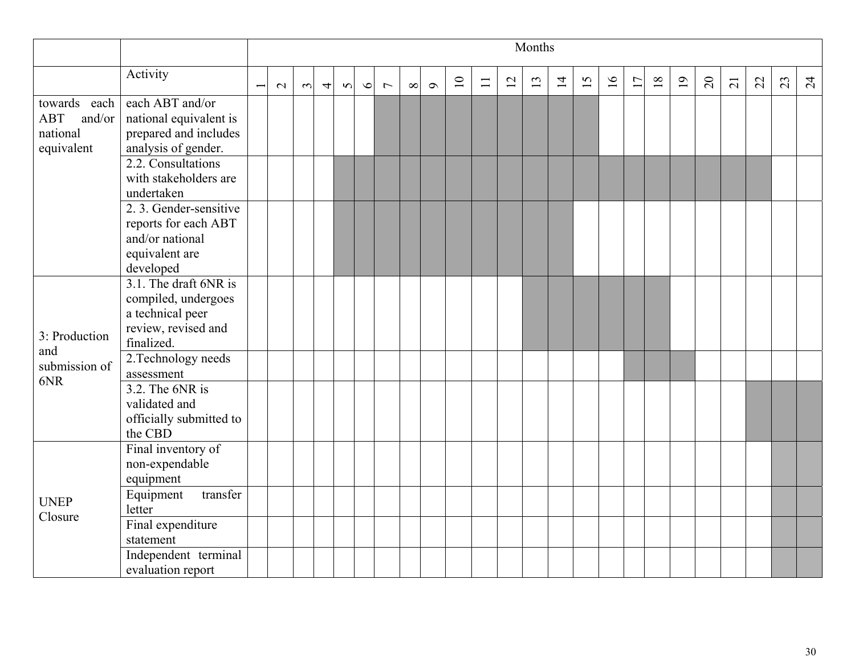|                                                                |                                                                                                       | Months |        |                |        |         |                |          |          |    |        |    |    |                 |    |    |    |    |    |                |                 |    |    |                |
|----------------------------------------------------------------|-------------------------------------------------------------------------------------------------------|--------|--------|----------------|--------|---------|----------------|----------|----------|----|--------|----|----|-----------------|----|----|----|----|----|----------------|-----------------|----|----|----------------|
|                                                                | Activity                                                                                              | $\sim$ | $\sim$ | $\overline{4}$ | $\sim$ | $\circ$ | $\overline{ }$ | $\infty$ | $\sigma$ | 10 | $\Box$ | 12 | 13 | $\overline{14}$ | 15 | 16 | 17 | 18 | 19 | $\overline{c}$ | $\overline{21}$ | 22 | 23 | $\overline{c}$ |
| towards each<br><b>ABT</b><br>and/or<br>national<br>equivalent | each ABT and/or<br>national equivalent is<br>prepared and includes<br>analysis of gender.             |        |        |                |        |         |                |          |          |    |        |    |    |                 |    |    |    |    |    |                |                 |    |    |                |
|                                                                | 2.2. Consultations<br>with stakeholders are<br>undertaken                                             |        |        |                |        |         |                |          |          |    |        |    |    |                 |    |    |    |    |    |                |                 |    |    |                |
|                                                                | 2. 3. Gender-sensitive<br>reports for each ABT<br>and/or national<br>equivalent are<br>developed      |        |        |                |        |         |                |          |          |    |        |    |    |                 |    |    |    |    |    |                |                 |    |    |                |
| 3: Production                                                  | 3.1. The draft 6NR is<br>compiled, undergoes<br>a technical peer<br>review, revised and<br>finalized. |        |        |                |        |         |                |          |          |    |        |    |    |                 |    |    |    |    |    |                |                 |    |    |                |
| and<br>submission of<br>6NR                                    | 2. Technology needs<br>assessment                                                                     |        |        |                |        |         |                |          |          |    |        |    |    |                 |    |    |    |    |    |                |                 |    |    |                |
|                                                                | $3.2$ . The 6NR is<br>validated and<br>officially submitted to<br>the CBD                             |        |        |                |        |         |                |          |          |    |        |    |    |                 |    |    |    |    |    |                |                 |    |    |                |
|                                                                | Final inventory of<br>non-expendable<br>equipment                                                     |        |        |                |        |         |                |          |          |    |        |    |    |                 |    |    |    |    |    |                |                 |    |    |                |
| <b>UNEP</b><br>Closure                                         | transfer<br>Equipment<br>letter                                                                       |        |        |                |        |         |                |          |          |    |        |    |    |                 |    |    |    |    |    |                |                 |    |    |                |
|                                                                | Final expenditure<br>statement                                                                        |        |        |                |        |         |                |          |          |    |        |    |    |                 |    |    |    |    |    |                |                 |    |    |                |
|                                                                | Independent terminal<br>evaluation report                                                             |        |        |                |        |         |                |          |          |    |        |    |    |                 |    |    |    |    |    |                |                 |    |    |                |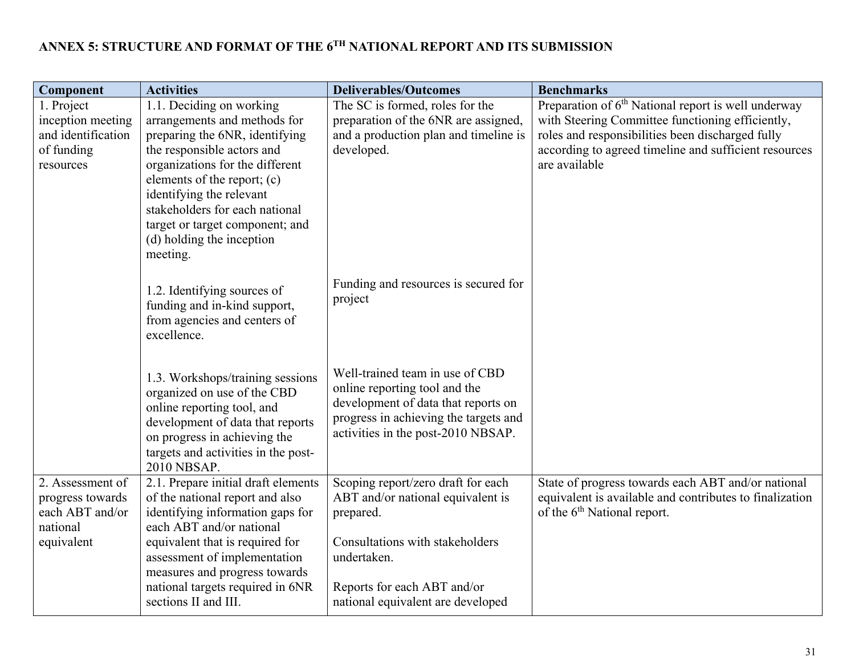#### **ANNEX 5: STRUCTURE AND FORMAT OF THE 6TH NATIONAL REPORT AND ITS SUBMISSION**

| Component          | <b>Activities</b>                                                                                                                                                                                                       | <b>Deliverables/Outcomes</b>                                                                                                                                                           | <b>Benchmarks</b>                                               |
|--------------------|-------------------------------------------------------------------------------------------------------------------------------------------------------------------------------------------------------------------------|----------------------------------------------------------------------------------------------------------------------------------------------------------------------------------------|-----------------------------------------------------------------|
| 1. Project         | 1.1. Deciding on working                                                                                                                                                                                                | The SC is formed, roles for the                                                                                                                                                        | Preparation of 6 <sup>th</sup> National report is well underway |
| inception meeting  | arrangements and methods for                                                                                                                                                                                            | preparation of the 6NR are assigned,                                                                                                                                                   | with Steering Committee functioning efficiently,                |
| and identification | preparing the 6NR, identifying                                                                                                                                                                                          | and a production plan and timeline is                                                                                                                                                  | roles and responsibilities been discharged fully                |
| of funding         | the responsible actors and                                                                                                                                                                                              | developed.                                                                                                                                                                             | according to agreed timeline and sufficient resources           |
| resources          | organizations for the different                                                                                                                                                                                         |                                                                                                                                                                                        | are available                                                   |
|                    | elements of the report; (c)                                                                                                                                                                                             |                                                                                                                                                                                        |                                                                 |
|                    | identifying the relevant                                                                                                                                                                                                |                                                                                                                                                                                        |                                                                 |
|                    | stakeholders for each national                                                                                                                                                                                          |                                                                                                                                                                                        |                                                                 |
|                    | target or target component; and<br>(d) holding the inception                                                                                                                                                            |                                                                                                                                                                                        |                                                                 |
|                    | meeting.                                                                                                                                                                                                                |                                                                                                                                                                                        |                                                                 |
|                    |                                                                                                                                                                                                                         |                                                                                                                                                                                        |                                                                 |
|                    | 1.2. Identifying sources of<br>funding and in-kind support,<br>from agencies and centers of<br>excellence.                                                                                                              | Funding and resources is secured for<br>project                                                                                                                                        |                                                                 |
|                    | 1.3. Workshops/training sessions<br>organized on use of the CBD<br>online reporting tool, and<br>development of data that reports<br>on progress in achieving the<br>targets and activities in the post-<br>2010 NBSAP. | Well-trained team in use of CBD<br>online reporting tool and the<br>development of data that reports on<br>progress in achieving the targets and<br>activities in the post-2010 NBSAP. |                                                                 |
| 2. Assessment of   | 2.1. Prepare initial draft elements                                                                                                                                                                                     | Scoping report/zero draft for each                                                                                                                                                     | State of progress towards each ABT and/or national              |
| progress towards   | of the national report and also                                                                                                                                                                                         | ABT and/or national equivalent is                                                                                                                                                      | equivalent is available and contributes to finalization         |
| each ABT and/or    | identifying information gaps for                                                                                                                                                                                        | prepared.                                                                                                                                                                              | of the 6 <sup>th</sup> National report.                         |
| national           | each ABT and/or national                                                                                                                                                                                                |                                                                                                                                                                                        |                                                                 |
| equivalent         | equivalent that is required for                                                                                                                                                                                         | Consultations with stakeholders                                                                                                                                                        |                                                                 |
|                    | assessment of implementation                                                                                                                                                                                            | undertaken.                                                                                                                                                                            |                                                                 |
|                    | measures and progress towards                                                                                                                                                                                           |                                                                                                                                                                                        |                                                                 |
|                    | national targets required in 6NR<br>sections II and III.                                                                                                                                                                | Reports for each ABT and/or                                                                                                                                                            |                                                                 |
|                    |                                                                                                                                                                                                                         | national equivalent are developed                                                                                                                                                      |                                                                 |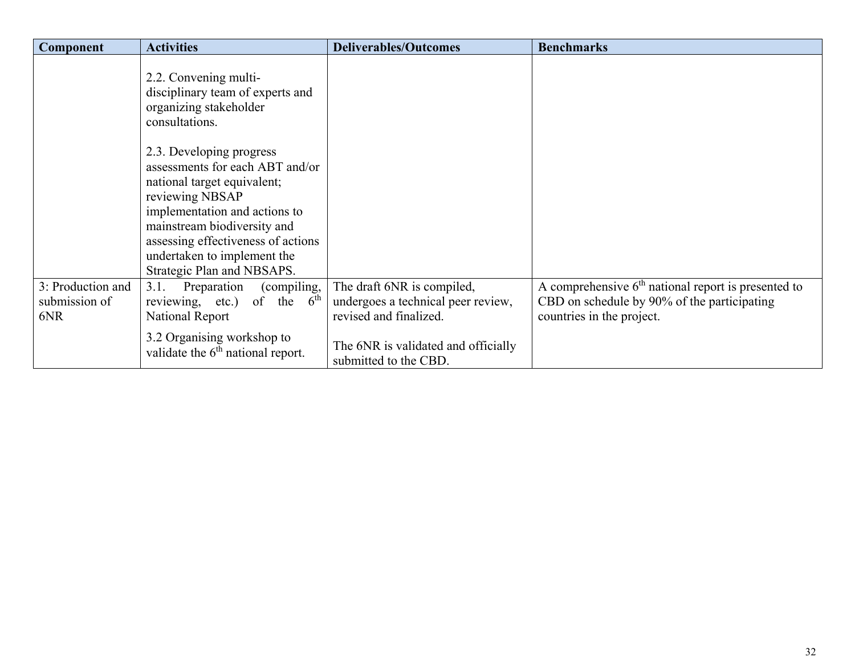| Component                                 | <b>Activities</b>                                                                                                                                                                                                                                                                | <b>Deliverables/Outcomes</b>                                                               | <b>Benchmarks</b>                                                                                                                 |
|-------------------------------------------|----------------------------------------------------------------------------------------------------------------------------------------------------------------------------------------------------------------------------------------------------------------------------------|--------------------------------------------------------------------------------------------|-----------------------------------------------------------------------------------------------------------------------------------|
|                                           | 2.2. Convening multi-<br>disciplinary team of experts and<br>organizing stakeholder<br>consultations.                                                                                                                                                                            |                                                                                            |                                                                                                                                   |
|                                           | 2.3. Developing progress<br>assessments for each ABT and/or<br>national target equivalent;<br>reviewing NBSAP<br>implementation and actions to<br>mainstream biodiversity and<br>assessing effectiveness of actions<br>undertaken to implement the<br>Strategic Plan and NBSAPS. |                                                                                            |                                                                                                                                   |
| 3: Production and<br>submission of<br>6NR | Preparation<br>3.1.<br>(compiling,<br>reviewing, etc.) of the $6th$<br>National Report<br>3.2 Organising workshop to                                                                                                                                                             | The draft 6NR is compiled,<br>undergoes a technical peer review,<br>revised and finalized. | A comprehensive $6th$ national report is presented to<br>CBD on schedule by 90% of the participating<br>countries in the project. |
|                                           | validate the $6th$ national report.                                                                                                                                                                                                                                              | The 6NR is validated and officially<br>submitted to the CBD.                               |                                                                                                                                   |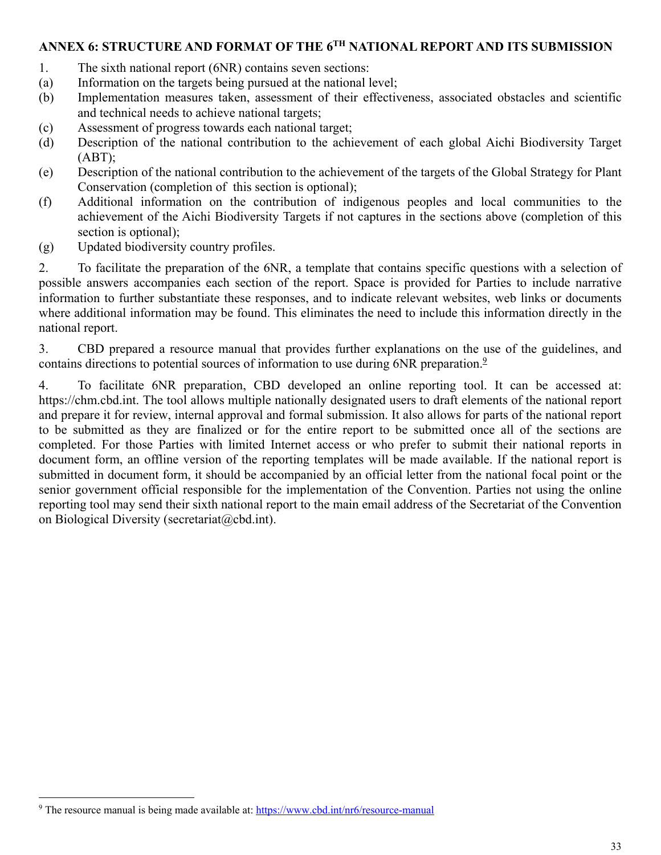## **ANNEX 6: STRUCTURE AND FORMAT OF THE 6TH NATIONAL REPORT AND ITS SUBMISSION**

- 1. The sixth national report (6NR) contains seven sections:
- (a) Information on the targets being pursued at the national level;
- (b) Implementation measures taken, assessment of their effectiveness, associated obstacles and scientific and technical needs to achieve national targets;
- (c) Assessment of progress towards each national target;
- (d) Description of the national contribution to the achievement of each global Aichi Biodiversity Target (ABT);
- (e) Description of the national contribution to the achievement of the targets of the Global Strategy for Plant Conservation (completion of this section is optional);
- (f) Additional information on the contribution of indigenous peoples and local communities to the achievement of the Aichi Biodiversity Targets if not captures in the sections above (completion of this section is optional);
- (g) Updated biodiversity country profiles.

2. To facilitate the preparation of the 6NR, a template that contains specific questions with a selection of possible answers accompanies each section of the report. Space is provided for Parties to include narrative information to further substantiate these responses, and to indicate relevant websites, web links or documents where additional information may be found. This eliminates the need to include this information directly in the national report.

3. CBD prepared a resource manual that provides further explanations on the use of the guidelines, and contains directions to potential sources of information to use during 6NR preparation.<sup>9</sup>

4. To facilitate 6NR preparation, CBD developed an online reporting tool. It can be accessed at: https://chm.cbd.int. The tool allows multiple nationally designated users to draft elements of the national report and prepare it for review, internal approval and formal submission. It also allows for parts of the national report to be submitted as they are finalized or for the entire report to be submitted once all of the sections are completed. For those Parties with limited Internet access or who prefer to submit their national reports in document form, an offline version of the reporting templates will be made available. If the national report is submitted in document form, it should be accompanied by an official letter from the national focal point or the senior government official responsible for the implementation of the Convention. Parties not using the online reporting tool may send their sixth national report to the main email address of the Secretariat of the Convention on Biological Diversity (secretariat@cbd.int).

<sup>&</sup>lt;u>.</u> <sup>9</sup> The resource manual is being made available at: https://www.cbd.int/nr6/resource-manual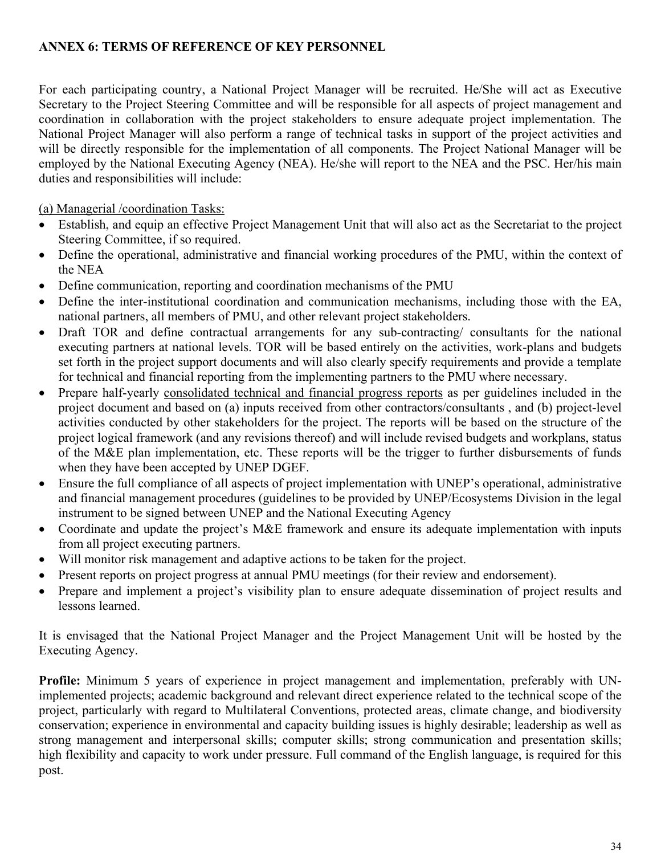## **ANNEX 6: TERMS OF REFERENCE OF KEY PERSONNEL**

For each participating country, a National Project Manager will be recruited. He/She will act as Executive Secretary to the Project Steering Committee and will be responsible for all aspects of project management and coordination in collaboration with the project stakeholders to ensure adequate project implementation. The National Project Manager will also perform a range of technical tasks in support of the project activities and will be directly responsible for the implementation of all components. The Project National Manager will be employed by the National Executing Agency (NEA). He/she will report to the NEA and the PSC. Her/his main duties and responsibilities will include:

(a) Managerial /coordination Tasks:

- Establish, and equip an effective Project Management Unit that will also act as the Secretariat to the project Steering Committee, if so required.
- Define the operational, administrative and financial working procedures of the PMU, within the context of the NEA
- Define communication, reporting and coordination mechanisms of the PMU
- Define the inter-institutional coordination and communication mechanisms, including those with the EA, national partners, all members of PMU, and other relevant project stakeholders.
- Draft TOR and define contractual arrangements for any sub-contracting/ consultants for the national executing partners at national levels. TOR will be based entirely on the activities, work-plans and budgets set forth in the project support documents and will also clearly specify requirements and provide a template for technical and financial reporting from the implementing partners to the PMU where necessary.
- Prepare half-yearly consolidated technical and financial progress reports as per guidelines included in the project document and based on (a) inputs received from other contractors/consultants , and (b) project-level activities conducted by other stakeholders for the project. The reports will be based on the structure of the project logical framework (and any revisions thereof) and will include revised budgets and workplans, status of the M&E plan implementation, etc. These reports will be the trigger to further disbursements of funds when they have been accepted by UNEP DGEF.
- Ensure the full compliance of all aspects of project implementation with UNEP's operational, administrative and financial management procedures (guidelines to be provided by UNEP/Ecosystems Division in the legal instrument to be signed between UNEP and the National Executing Agency
- Coordinate and update the project's M&E framework and ensure its adequate implementation with inputs from all project executing partners.
- Will monitor risk management and adaptive actions to be taken for the project.
- Present reports on project progress at annual PMU meetings (for their review and endorsement).
- Prepare and implement a project's visibility plan to ensure adequate dissemination of project results and lessons learned.

It is envisaged that the National Project Manager and the Project Management Unit will be hosted by the Executing Agency.

**Profile:** Minimum 5 years of experience in project management and implementation, preferably with UNimplemented projects; academic background and relevant direct experience related to the technical scope of the project, particularly with regard to Multilateral Conventions, protected areas, climate change, and biodiversity conservation; experience in environmental and capacity building issues is highly desirable; leadership as well as strong management and interpersonal skills; computer skills; strong communication and presentation skills; high flexibility and capacity to work under pressure. Full command of the English language, is required for this post.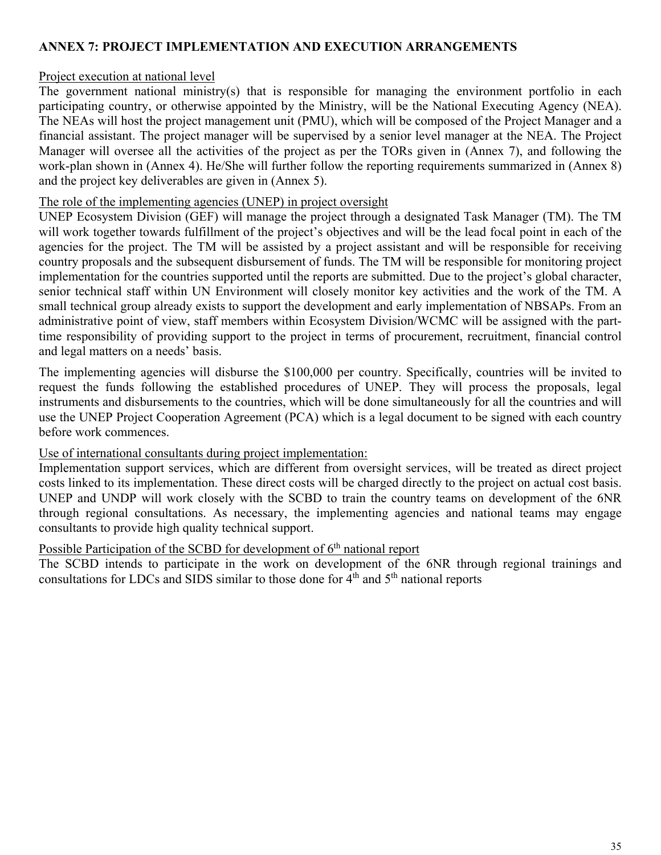## **ANNEX 7: PROJECT IMPLEMENTATION AND EXECUTION ARRANGEMENTS**

## Project execution at national level

The government national ministry(s) that is responsible for managing the environment portfolio in each participating country, or otherwise appointed by the Ministry, will be the National Executing Agency (NEA). The NEAs will host the project management unit (PMU), which will be composed of the Project Manager and a financial assistant. The project manager will be supervised by a senior level manager at the NEA. The Project Manager will oversee all the activities of the project as per the TORs given in (Annex 7), and following the work-plan shown in (Annex 4). He/She will further follow the reporting requirements summarized in (Annex 8) and the project key deliverables are given in (Annex 5).

#### The role of the implementing agencies (UNEP) in project oversight

UNEP Ecosystem Division (GEF) will manage the project through a designated Task Manager (TM). The TM will work together towards fulfillment of the project's objectives and will be the lead focal point in each of the agencies for the project. The TM will be assisted by a project assistant and will be responsible for receiving country proposals and the subsequent disbursement of funds. The TM will be responsible for monitoring project implementation for the countries supported until the reports are submitted. Due to the project's global character, senior technical staff within UN Environment will closely monitor key activities and the work of the TM. A small technical group already exists to support the development and early implementation of NBSAPs. From an administrative point of view, staff members within Ecosystem Division/WCMC will be assigned with the parttime responsibility of providing support to the project in terms of procurement, recruitment, financial control and legal matters on a needs' basis.

The implementing agencies will disburse the \$100,000 per country. Specifically, countries will be invited to request the funds following the established procedures of UNEP. They will process the proposals, legal instruments and disbursements to the countries, which will be done simultaneously for all the countries and will use the UNEP Project Cooperation Agreement (PCA) which is a legal document to be signed with each country before work commences.

#### Use of international consultants during project implementation:

Implementation support services, which are different from oversight services, will be treated as direct project costs linked to its implementation. These direct costs will be charged directly to the project on actual cost basis. UNEP and UNDP will work closely with the SCBD to train the country teams on development of the 6NR through regional consultations. As necessary, the implementing agencies and national teams may engage consultants to provide high quality technical support.

## Possible Participation of the SCBD for development of  $6<sup>th</sup>$  national report

The SCBD intends to participate in the work on development of the 6NR through regional trainings and consultations for LDCs and SIDS similar to those done for  $\hat{4}^{\text{th}}$  and  $5^{\text{th}}$  national reports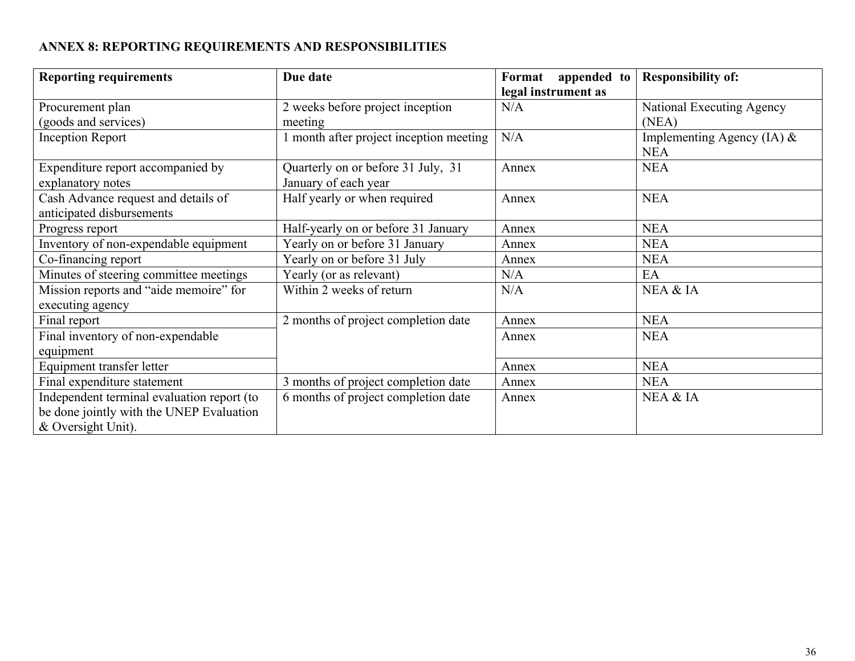# **ANNEX 8: REPORTING REQUIREMENTS AND RESPONSIBILITIES**

| <b>Reporting requirements</b>                                                                                | Due date                                                   | Format<br>appended to<br>legal instrument as | <b>Responsibility of:</b>                  |
|--------------------------------------------------------------------------------------------------------------|------------------------------------------------------------|----------------------------------------------|--------------------------------------------|
| Procurement plan                                                                                             | 2 weeks before project inception                           | N/A                                          | National Executing Agency                  |
| (goods and services)                                                                                         | meeting                                                    |                                              | (NEA)                                      |
| <b>Inception Report</b>                                                                                      | 1 month after project inception meeting                    | N/A                                          | Implementing Agency (IA) $&$<br><b>NEA</b> |
| Expenditure report accompanied by<br>explanatory notes                                                       | Quarterly on or before 31 July, 31<br>January of each year | Annex                                        | <b>NEA</b>                                 |
| Cash Advance request and details of<br>anticipated disbursements                                             | Half yearly or when required                               | Annex                                        | <b>NEA</b>                                 |
| Progress report                                                                                              | Half-yearly on or before 31 January                        | Annex                                        | <b>NEA</b>                                 |
| Inventory of non-expendable equipment                                                                        | Yearly on or before 31 January                             | Annex                                        | <b>NEA</b>                                 |
| Co-financing report                                                                                          | Yearly on or before 31 July                                | Annex                                        | <b>NEA</b>                                 |
| Minutes of steering committee meetings                                                                       | Yearly (or as relevant)                                    | N/A                                          | EA                                         |
| Mission reports and "aide memoire" for<br>executing agency                                                   | Within 2 weeks of return                                   | N/A                                          | NEA & IA                                   |
| Final report                                                                                                 | 2 months of project completion date                        | Annex                                        | <b>NEA</b>                                 |
| Final inventory of non-expendable<br>equipment                                                               |                                                            | Annex                                        | <b>NEA</b>                                 |
| Equipment transfer letter                                                                                    |                                                            | Annex                                        | <b>NEA</b>                                 |
| Final expenditure statement                                                                                  | 3 months of project completion date                        | Annex                                        | <b>NEA</b>                                 |
| Independent terminal evaluation report (to<br>be done jointly with the UNEP Evaluation<br>& Oversight Unit). | 6 months of project completion date                        | Annex                                        | NEA & IA                                   |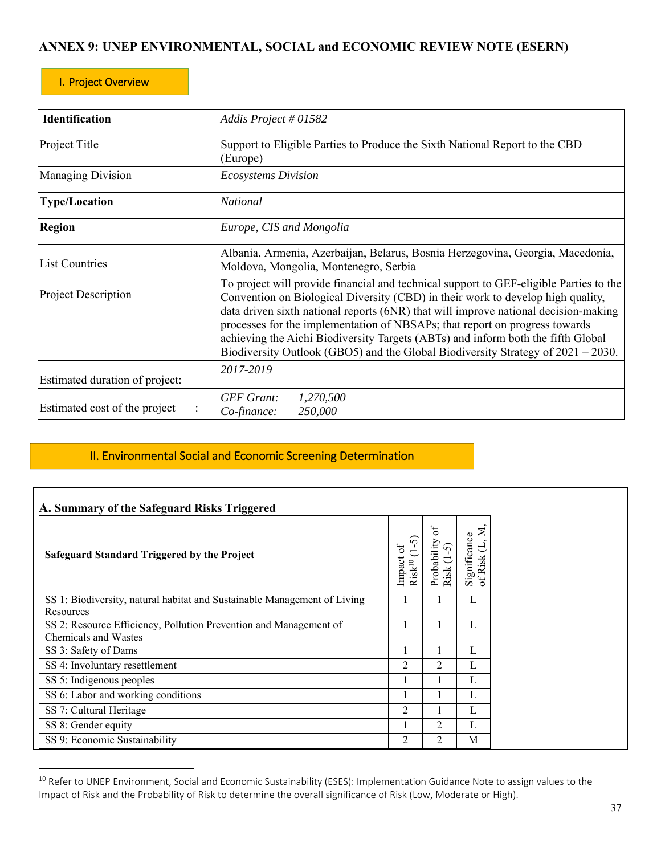## **ANNEX 9: UNEP ENVIRONMENTAL, SOCIAL and ECONOMIC REVIEW NOTE (ESERN)**

#### I. Project Overview

 $\overline{a}$ 

| <b>Identification</b>                     | Addis Project # 01582                                                                                                                                                                                                                                                                                                                                                                                                                                                                                                   |  |  |  |  |
|-------------------------------------------|-------------------------------------------------------------------------------------------------------------------------------------------------------------------------------------------------------------------------------------------------------------------------------------------------------------------------------------------------------------------------------------------------------------------------------------------------------------------------------------------------------------------------|--|--|--|--|
| Project Title                             | Support to Eligible Parties to Produce the Sixth National Report to the CBD<br>(Europe)                                                                                                                                                                                                                                                                                                                                                                                                                                 |  |  |  |  |
| <b>Managing Division</b>                  | <b>Ecosystems Division</b>                                                                                                                                                                                                                                                                                                                                                                                                                                                                                              |  |  |  |  |
| <b>Type/Location</b>                      | National                                                                                                                                                                                                                                                                                                                                                                                                                                                                                                                |  |  |  |  |
| <b>Region</b><br>Europe, CIS and Mongolia |                                                                                                                                                                                                                                                                                                                                                                                                                                                                                                                         |  |  |  |  |
| List Countries                            | Albania, Armenia, Azerbaijan, Belarus, Bosnia Herzegovina, Georgia, Macedonia,<br>Moldova, Mongolia, Montenegro, Serbia                                                                                                                                                                                                                                                                                                                                                                                                 |  |  |  |  |
| <b>Project Description</b>                | To project will provide financial and technical support to GEF-eligible Parties to the<br>Convention on Biological Diversity (CBD) in their work to develop high quality,<br>data driven sixth national reports (6NR) that will improve national decision-making<br>processes for the implementation of NBSAPs; that report on progress towards<br>achieving the Aichi Biodiversity Targets (ABTs) and inform both the fifth Global<br>Biodiversity Outlook (GBO5) and the Global Biodiversity Strategy of 2021 – 2030. |  |  |  |  |
| Estimated duration of project:            | 2017-2019                                                                                                                                                                                                                                                                                                                                                                                                                                                                                                               |  |  |  |  |
| Estimated cost of the project             | <b>GEF</b> Grant:<br>1,270,500<br>250,000<br>Co-finance:                                                                                                                                                                                                                                                                                                                                                                                                                                                                |  |  |  |  |

## II. Environmental Social and Economic Screening Determination

| A. Summary of the Safeguard Risks Triggered                                               |                                      |                                      |                                   |
|-------------------------------------------------------------------------------------------|--------------------------------------|--------------------------------------|-----------------------------------|
| <b>Safeguard Standard Triggered by the Project</b>                                        | 5°<br>Impact<br>$\mathrm{Risk}^{10}$ | ЪÓ<br>$\sim$<br>Probabili<br>Risk (1 | Σ<br>Significance<br>Ë<br>of Risk |
| SS 1: Biodiversity, natural habitat and Sustainable Management of Living<br>Resources     |                                      |                                      | L                                 |
| SS 2: Resource Efficiency, Pollution Prevention and Management of<br>Chemicals and Wastes |                                      |                                      | L                                 |
| SS 3: Safety of Dams                                                                      |                                      |                                      | L                                 |
| SS 4: Involuntary resettlement                                                            | 2                                    | 2                                    | L                                 |
| SS 5: Indigenous peoples                                                                  |                                      |                                      | L                                 |
| SS 6: Labor and working conditions                                                        |                                      |                                      | L                                 |
| SS 7: Cultural Heritage                                                                   | $\mathfrak{D}$                       |                                      | L                                 |
| SS 8: Gender equity                                                                       |                                      | $\mathfrak{D}$                       | L                                 |
| SS 9: Economic Sustainability                                                             | 2                                    | 2                                    | M                                 |

 $^{10}$  Refer to UNEP Environment, Social and Economic Sustainability (ESES): Implementation Guidance Note to assign values to the Impact of Risk and the Probability of Risk to determine the overall significance of Risk (Low, Moderate or High).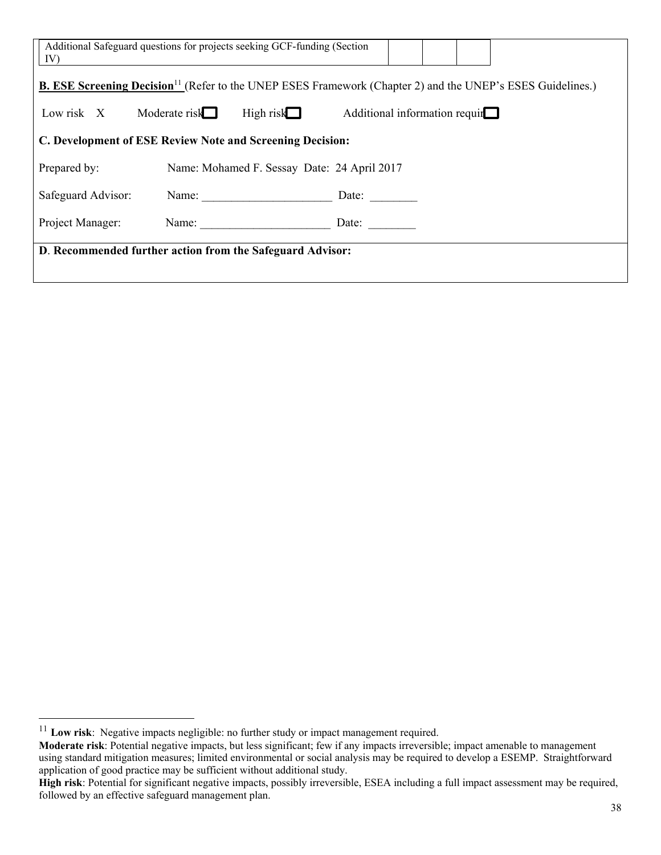| Additional Safeguard questions for projects seeking GCF-funding (Section<br>IV)                                               |                                             |       |                                |  |  |  |  |  |
|-------------------------------------------------------------------------------------------------------------------------------|---------------------------------------------|-------|--------------------------------|--|--|--|--|--|
| <b>B. ESE Screening Decision</b> <sup>11</sup> (Refer to the UNEP ESES Framework (Chapter 2) and the UNEP's ESES Guidelines.) |                                             |       |                                |  |  |  |  |  |
| Low risk $X$ Moderate risk<br>High risk $\Box$<br>Additional information requir                                               |                                             |       |                                |  |  |  |  |  |
| C. Development of ESE Review Note and Screening Decision:                                                                     |                                             |       |                                |  |  |  |  |  |
| Prepared by:                                                                                                                  | Name: Mohamed F. Sessay Date: 24 April 2017 |       |                                |  |  |  |  |  |
| Safeguard Advisor:                                                                                                            |                                             |       | Name: $\qquad \qquad$<br>Date: |  |  |  |  |  |
| Project Manager:                                                                                                              |                                             | Name: | Date: $\qquad \qquad \qquad$   |  |  |  |  |  |
| D. Recommended further action from the Safeguard Advisor:                                                                     |                                             |       |                                |  |  |  |  |  |

 $\overline{a}$ 

<sup>&</sup>lt;sup>11</sup> Low risk: Negative impacts negligible: no further study or impact management required.

**Moderate risk**: Potential negative impacts, but less significant; few if any impacts irreversible; impact amenable to management using standard mitigation measures; limited environmental or social analysis may be required to develop a ESEMP. Straightforward application of good practice may be sufficient without additional study.

**High risk**: Potential for significant negative impacts, possibly irreversible, ESEA including a full impact assessment may be required, followed by an effective safeguard management plan.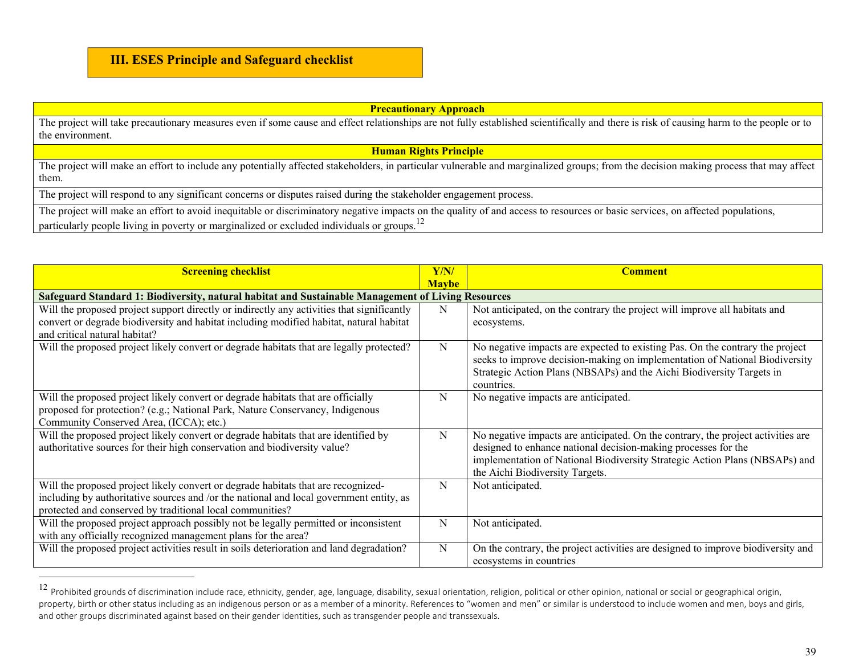## **III. ESES Principle and Safeguard checklist**

| <b>Precautionary Approach</b>                                                                                                                                                           |  |  |  |  |  |
|-----------------------------------------------------------------------------------------------------------------------------------------------------------------------------------------|--|--|--|--|--|
| The project will take precautionary measures even if some cause and effect relationships are not fully established scientifically and there is risk of causing harm to the people or to |  |  |  |  |  |
| the environment.                                                                                                                                                                        |  |  |  |  |  |
| <b>Human Rights Principle</b>                                                                                                                                                           |  |  |  |  |  |
| The project will make an effort to include any potentially affected stakeholders, in particular vulnerable and marginalized groups; from the decision making process that may affect    |  |  |  |  |  |
| them.                                                                                                                                                                                   |  |  |  |  |  |
| The project will respond to any significant concerns or disputes raised during the stakeholder engagement process.                                                                      |  |  |  |  |  |
| The project will make an effort to avoid inequitable or discriminatory negative impacts on the quality of and access to resources or basic services, on affected populations,           |  |  |  |  |  |
| particularly people living in poverty or marginalized or excluded individuals or groups. <sup>12</sup>                                                                                  |  |  |  |  |  |

| <b>Screening checklist</b>                                                                                                                                                                                                                | Y/N/ | <b>Comment</b>                                                                                                                                                                                                                                                       |  |  |  |  |  |  |
|-------------------------------------------------------------------------------------------------------------------------------------------------------------------------------------------------------------------------------------------|------|----------------------------------------------------------------------------------------------------------------------------------------------------------------------------------------------------------------------------------------------------------------------|--|--|--|--|--|--|
| <b>Maybe</b><br>Safeguard Standard 1: Biodiversity, natural habitat and Sustainable Management of Living Resources                                                                                                                        |      |                                                                                                                                                                                                                                                                      |  |  |  |  |  |  |
| Will the proposed project support directly or indirectly any activities that significantly<br>convert or degrade biodiversity and habitat including modified habitat, natural habitat<br>and critical natural habitat?                    | N    | Not anticipated, on the contrary the project will improve all habitats and<br>ecosystems.                                                                                                                                                                            |  |  |  |  |  |  |
| Will the proposed project likely convert or degrade habitats that are legally protected?                                                                                                                                                  | N    | No negative impacts are expected to existing Pas. On the contrary the project<br>seeks to improve decision-making on implementation of National Biodiversity<br>Strategic Action Plans (NBSAPs) and the Aichi Biodiversity Targets in<br>countries.                  |  |  |  |  |  |  |
| Will the proposed project likely convert or degrade habitats that are officially<br>proposed for protection? (e.g.; National Park, Nature Conservancy, Indigenous<br>Community Conserved Area, (ICCA); etc.)                              | N    | No negative impacts are anticipated.                                                                                                                                                                                                                                 |  |  |  |  |  |  |
| Will the proposed project likely convert or degrade habitats that are identified by<br>authoritative sources for their high conservation and biodiversity value?                                                                          | N    | No negative impacts are anticipated. On the contrary, the project activities are<br>designed to enhance national decision-making processes for the<br>implementation of National Biodiversity Strategic Action Plans (NBSAPs) and<br>the Aichi Biodiversity Targets. |  |  |  |  |  |  |
| Will the proposed project likely convert or degrade habitats that are recognized-<br>including by authoritative sources and /or the national and local government entity, as<br>protected and conserved by traditional local communities? | N    | Not anticipated.                                                                                                                                                                                                                                                     |  |  |  |  |  |  |
| Will the proposed project approach possibly not be legally permitted or inconsistent<br>with any officially recognized management plans for the area?                                                                                     | N    | Not anticipated.                                                                                                                                                                                                                                                     |  |  |  |  |  |  |
| Will the proposed project activities result in soils deterioration and land degradation?                                                                                                                                                  | N    | On the contrary, the project activities are designed to improve biodiversity and<br>ecosystems in countries                                                                                                                                                          |  |  |  |  |  |  |

 $^{12}$  Prohibited grounds of discrimination include race, ethnicity, gender, age, language, disability, sexual orientation, religion, political or other opinion, national or social or geographical origin, property, birth or other status including as an indigenous person or as a member of a minority. References to "women and men" or similar is understood to include women and men, boys and girls, and other groups discriminated against based on their gender identities, such as transgender people and transsexuals.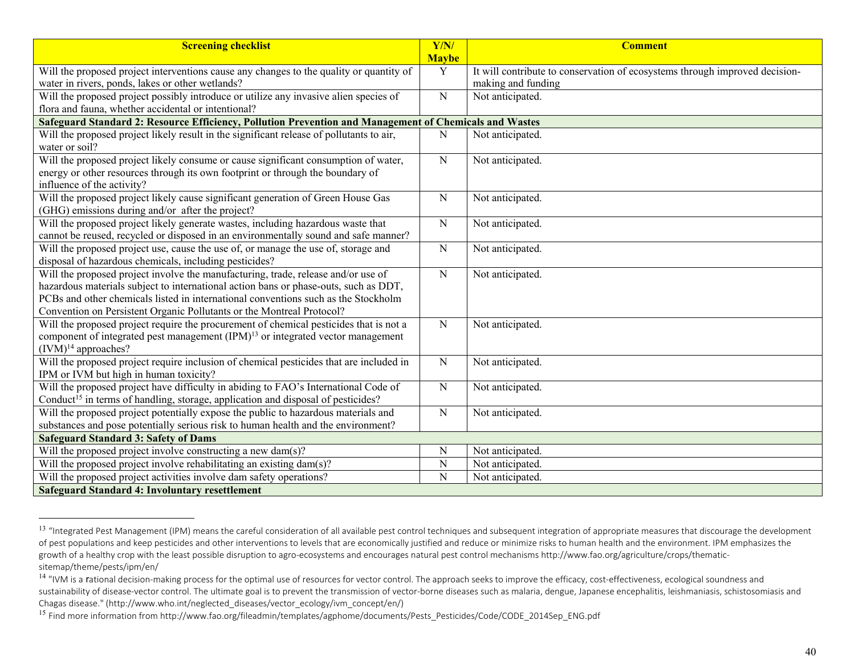| <b>Screening checklist</b>                                                                             | Y/N/<br><b>Maybe</b> | <b>Comment</b>                                                              |
|--------------------------------------------------------------------------------------------------------|----------------------|-----------------------------------------------------------------------------|
| Will the proposed project interventions cause any changes to the quality or quantity of                | $\overline{Y}$       | It will contribute to conservation of ecosystems through improved decision- |
| water in rivers, ponds, lakes or other wetlands?                                                       |                      | making and funding                                                          |
| Will the proposed project possibly introduce or utilize any invasive alien species of                  | $\overline{N}$       | Not anticipated.                                                            |
| flora and fauna, whether accidental or intentional?                                                    |                      |                                                                             |
| Safeguard Standard 2: Resource Efficiency, Pollution Prevention and Management of Chemicals and Wastes |                      |                                                                             |
| Will the proposed project likely result in the significant release of pollutants to air,               | N                    | Not anticipated.                                                            |
| water or soil?                                                                                         |                      |                                                                             |
| Will the proposed project likely consume or cause significant consumption of water,                    | ${\bf N}$            | Not anticipated.                                                            |
| energy or other resources through its own footprint or through the boundary of                         |                      |                                                                             |
| influence of the activity?                                                                             |                      |                                                                             |
| Will the proposed project likely cause significant generation of Green House Gas                       | ${\bf N}$            | Not anticipated.                                                            |
| (GHG) emissions during and/or after the project?                                                       |                      |                                                                             |
| Will the proposed project likely generate wastes, including hazardous waste that                       | ${\bf N}$            | Not anticipated.                                                            |
| cannot be reused, recycled or disposed in an environmentally sound and safe manner?                    |                      |                                                                             |
| Will the proposed project use, cause the use of, or manage the use of, storage and                     | ${\bf N}$            | Not anticipated.                                                            |
| disposal of hazardous chemicals, including pesticides?                                                 |                      |                                                                             |
| Will the proposed project involve the manufacturing, trade, release and/or use of                      | ${\bf N}$            | Not anticipated.                                                            |
| hazardous materials subject to international action bans or phase-outs, such as DDT,                   |                      |                                                                             |
| PCBs and other chemicals listed in international conventions such as the Stockholm                     |                      |                                                                             |
| Convention on Persistent Organic Pollutants or the Montreal Protocol?                                  |                      |                                                                             |
| Will the proposed project require the procurement of chemical pesticides that is not a                 | ${\bf N}$            | Not anticipated.                                                            |
| component of integrated pest management (IPM) <sup>13</sup> or integrated vector management            |                      |                                                                             |
| $(IVM)^{14}$ approaches?                                                                               |                      |                                                                             |
| Will the proposed project require inclusion of chemical pesticides that are included in                | ${\bf N}$            | Not anticipated.                                                            |
| IPM or IVM but high in human toxicity?                                                                 |                      |                                                                             |
| Will the proposed project have difficulty in abiding to FAO's International Code of                    | ${\bf N}$            | Not anticipated.                                                            |
| Conduct <sup>15</sup> in terms of handling, storage, application and disposal of pesticides?           |                      |                                                                             |
| Will the proposed project potentially expose the public to hazardous materials and                     | ${\bf N}$            | Not anticipated.                                                            |
| substances and pose potentially serious risk to human health and the environment?                      |                      |                                                                             |
| <b>Safeguard Standard 3: Safety of Dams</b>                                                            |                      |                                                                             |
| Will the proposed project involve constructing a new dam(s)?                                           | ${\bf N}$            | Not anticipated.                                                            |
| Will the proposed project involve rehabilitating an existing dam(s)?                                   | ${\bf N}$            | Not anticipated.                                                            |
| Will the proposed project activities involve dam safety operations?                                    | $\overline{N}$       | Not anticipated.                                                            |
| <b>Safeguard Standard 4: Involuntary resettlement</b>                                                  |                      |                                                                             |

 $^{13}$  "Integrated Pest Management (IPM) means the careful consideration of all available pest control techniques and subsequent integration of appropriate measures that discourage the development of pest populations and keep pesticides and other interventions to levels that are economically justified and reduce or minimize risks to human health and the environment. IPM emphasizes the growth of a healthy crop with the least possible disruption to agro-ecosystems and encourages natural pest control mechanisms http://www.fao.org/agriculture/crops/thematicsitemap/theme/pests/ipm/en/

<sup>&</sup>lt;sup>14</sup> "IVM is a rational decision-making process for the optimal use of resources for vector control. The approach seeks to improve the efficacy, cost-effectiveness, ecological soundness and sustainability of disease-vector control. The ultimate goal is to prevent the transmission of vector-borne diseases such as malaria, dengue, Japanese encephalitis, leishmaniasis, schistosomiasis and Chagas disease." (http://www.who.int/neglected\_diseases/vector\_ecology/ivm\_concept/en/)

<sup>&</sup>lt;sup>15</sup> Find more information from http://www.fao.org/fileadmin/templates/agphome/documents/Pests\_Pesticides/Code/CODE\_2014Sep\_ENG.pdf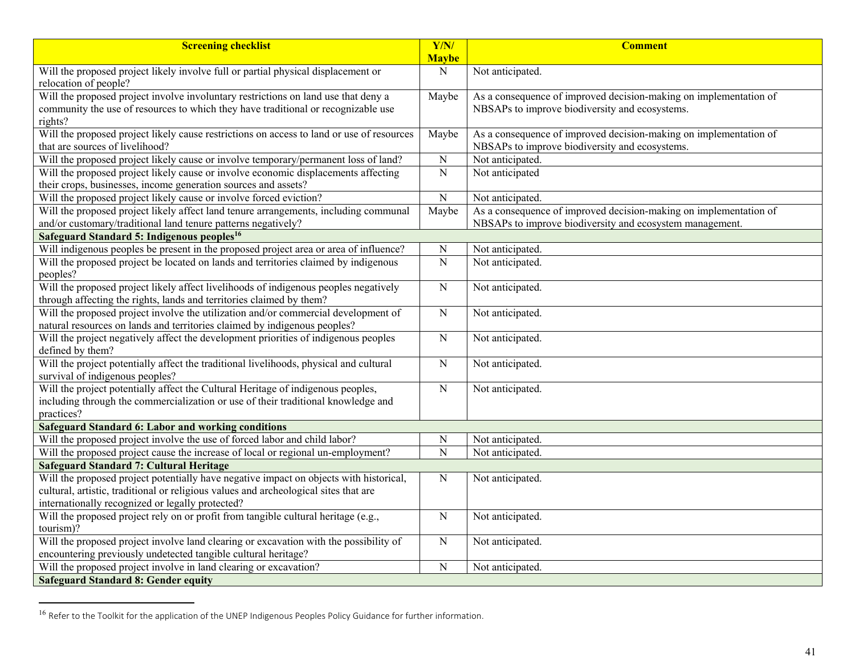| <b>Screening checklist</b>                                                                                          | $\overline{Y/N}$<br><b>Maybe</b> | <b>Comment</b>                                                    |
|---------------------------------------------------------------------------------------------------------------------|----------------------------------|-------------------------------------------------------------------|
| Will the proposed project likely involve full or partial physical displacement or                                   | $\overline{N}$                   | Not anticipated.                                                  |
| relocation of people?                                                                                               |                                  |                                                                   |
| Will the proposed project involve involuntary restrictions on land use that deny a                                  | Maybe                            | As a consequence of improved decision-making on implementation of |
| community the use of resources to which they have traditional or recognizable use                                   |                                  | NBSAPs to improve biodiversity and ecosystems.                    |
| rights?                                                                                                             |                                  |                                                                   |
| Will the proposed project likely cause restrictions on access to land or use of resources                           | Maybe                            | As a consequence of improved decision-making on implementation of |
| that are sources of livelihood?                                                                                     |                                  | NBSAPs to improve biodiversity and ecosystems.                    |
| Will the proposed project likely cause or involve temporary/permanent loss of land?                                 | $\overline{N}$                   | Not anticipated.                                                  |
| Will the proposed project likely cause or involve economic displacements affecting                                  | $\overline{N}$                   | Not anticipated                                                   |
| their crops, businesses, income generation sources and assets?                                                      |                                  |                                                                   |
| Will the proposed project likely cause or involve forced eviction?                                                  | $\overline{N}$                   | Not anticipated.                                                  |
| Will the proposed project likely affect land tenure arrangements, including communal                                | Maybe                            | As a consequence of improved decision-making on implementation of |
| and/or customary/traditional land tenure patterns negatively?                                                       |                                  | NBSAPs to improve biodiversity and ecosystem management.          |
| Safeguard Standard 5: Indigenous peoples <sup>16</sup>                                                              |                                  |                                                                   |
| Will indigenous peoples be present in the proposed project area or area of influence?                               | ${\bf N}$                        | Not anticipated.                                                  |
| Will the proposed project be located on lands and territories claimed by indigenous                                 | $\overline{N}$                   | Not anticipated.                                                  |
| peoples?                                                                                                            |                                  |                                                                   |
| Will the proposed project likely affect livelihoods of indigenous peoples negatively                                | $\overline{N}$                   | Not anticipated.                                                  |
| through affecting the rights, lands and territories claimed by them?                                                |                                  |                                                                   |
| Will the proposed project involve the utilization and/or commercial development of                                  | $\overline{N}$                   | Not anticipated.                                                  |
| natural resources on lands and territories claimed by indigenous peoples?                                           |                                  |                                                                   |
| Will the project negatively affect the development priorities of indigenous peoples                                 | $\overline{N}$                   | Not anticipated.                                                  |
| defined by them?                                                                                                    |                                  |                                                                   |
| Will the project potentially affect the traditional livelihoods, physical and cultural                              | ${\bf N}$                        | Not anticipated.                                                  |
| survival of indigenous peoples?<br>Will the project potentially affect the Cultural Heritage of indigenous peoples, |                                  |                                                                   |
| including through the commercialization or use of their traditional knowledge and                                   | $\overline{N}$                   | Not anticipated.                                                  |
| practices?                                                                                                          |                                  |                                                                   |
| <b>Safeguard Standard 6: Labor and working conditions</b>                                                           |                                  |                                                                   |
| Will the proposed project involve the use of forced labor and child labor?                                          | ${\bf N}$                        | Not anticipated.                                                  |
| Will the proposed project cause the increase of local or regional un-employment?                                    | $\overline{N}$                   | Not anticipated.                                                  |
| <b>Safeguard Standard 7: Cultural Heritage</b>                                                                      |                                  |                                                                   |
| Will the proposed project potentially have negative impact on objects with historical,                              | ${\bf N}$                        | Not anticipated.                                                  |
| cultural, artistic, traditional or religious values and archeological sites that are                                |                                  |                                                                   |
| internationally recognized or legally protected?                                                                    |                                  |                                                                   |
| Will the proposed project rely on or profit from tangible cultural heritage (e.g.,                                  | ${\bf N}$                        | Not anticipated.                                                  |
| tourism)?                                                                                                           |                                  |                                                                   |
| Will the proposed project involve land clearing or excavation with the possibility of                               | ${\bf N}$                        | Not anticipated.                                                  |
| encountering previously undetected tangible cultural heritage?                                                      |                                  |                                                                   |
| Will the proposed project involve in land clearing or excavation?                                                   | ${\bf N}$                        | Not anticipated.                                                  |
| <b>Safeguard Standard 8: Gender equity</b>                                                                          |                                  |                                                                   |

<sup>&</sup>lt;sup>16</sup> Refer to the Toolkit for the application of the UNEP Indigenous Peoples Policy Guidance for further information.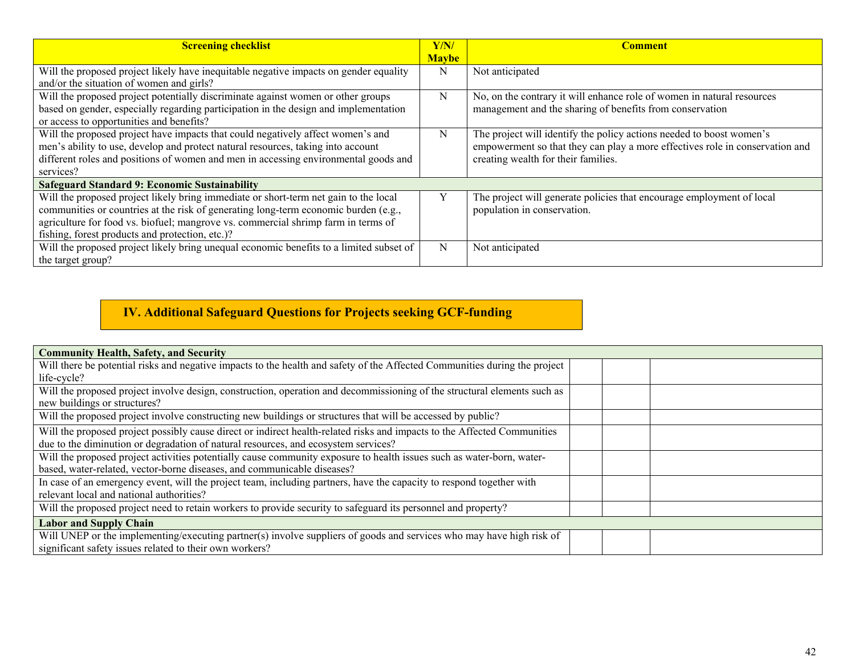| <b>Screening checklist</b>                                                              | Y/N/         | <b>Comment</b>                                                               |
|-----------------------------------------------------------------------------------------|--------------|------------------------------------------------------------------------------|
|                                                                                         | <b>Maybe</b> |                                                                              |
| Will the proposed project likely have inequitable negative impacts on gender equality   | N            | Not anticipated                                                              |
| and/or the situation of women and girls?                                                |              |                                                                              |
| Will the proposed project potentially discriminate against women or other groups        | N            | No, on the contrary it will enhance role of women in natural resources       |
| based on gender, especially regarding participation in the design and implementation    |              | management and the sharing of benefits from conservation                     |
| or access to opportunities and benefits?                                                |              |                                                                              |
| Will the proposed project have impacts that could negatively affect women's and         | N            | The project will identify the policy actions needed to boost women's         |
| men's ability to use, develop and protect natural resources, taking into account        |              | empowerment so that they can play a more effectives role in conservation and |
| different roles and positions of women and men in accessing environmental goods and     |              | creating wealth for their families.                                          |
| services?                                                                               |              |                                                                              |
| <b>Safeguard Standard 9: Economic Sustainability</b>                                    |              |                                                                              |
| Will the proposed project likely bring immediate or short-term net gain to the local    |              | The project will generate policies that encourage employment of local        |
| communities or countries at the risk of generating long-term economic burden (e.g.,     |              | population in conservation.                                                  |
| agriculture for food vs. biofuel; mangrove vs. commercial shrimp farm in terms of       |              |                                                                              |
| fishing, forest products and protection, etc.)?                                         |              |                                                                              |
| Will the proposed project likely bring unequal economic benefits to a limited subset of | N            | Not anticipated                                                              |
| the target group?                                                                       |              |                                                                              |

# **IV. Additional Safeguard Questions for Projects seeking GCF-funding**

| <b>Community Health, Safety, and Security</b>                                                                              |  |  |  |  |  |  |
|----------------------------------------------------------------------------------------------------------------------------|--|--|--|--|--|--|
| Will there be potential risks and negative impacts to the health and safety of the Affected Communities during the project |  |  |  |  |  |  |
| life-cycle?                                                                                                                |  |  |  |  |  |  |
| Will the proposed project involve design, construction, operation and decommissioning of the structural elements such as   |  |  |  |  |  |  |
| new buildings or structures?                                                                                               |  |  |  |  |  |  |
| Will the proposed project involve constructing new buildings or structures that will be accessed by public?                |  |  |  |  |  |  |
| Will the proposed project possibly cause direct or indirect health-related risks and impacts to the Affected Communities   |  |  |  |  |  |  |
| due to the diminution or degradation of natural resources, and ecosystem services?                                         |  |  |  |  |  |  |
| Will the proposed project activities potentially cause community exposure to health issues such as water-born, water-      |  |  |  |  |  |  |
| based, water-related, vector-borne diseases, and communicable diseases?                                                    |  |  |  |  |  |  |
| In case of an emergency event, will the project team, including partners, have the capacity to respond together with       |  |  |  |  |  |  |
| relevant local and national authorities?                                                                                   |  |  |  |  |  |  |
| Will the proposed project need to retain workers to provide security to safeguard its personnel and property?              |  |  |  |  |  |  |
| <b>Labor and Supply Chain</b>                                                                                              |  |  |  |  |  |  |
| Will UNEP or the implementing/executing partner(s) involve suppliers of goods and services who may have high risk of       |  |  |  |  |  |  |
| significant safety issues related to their own workers?                                                                    |  |  |  |  |  |  |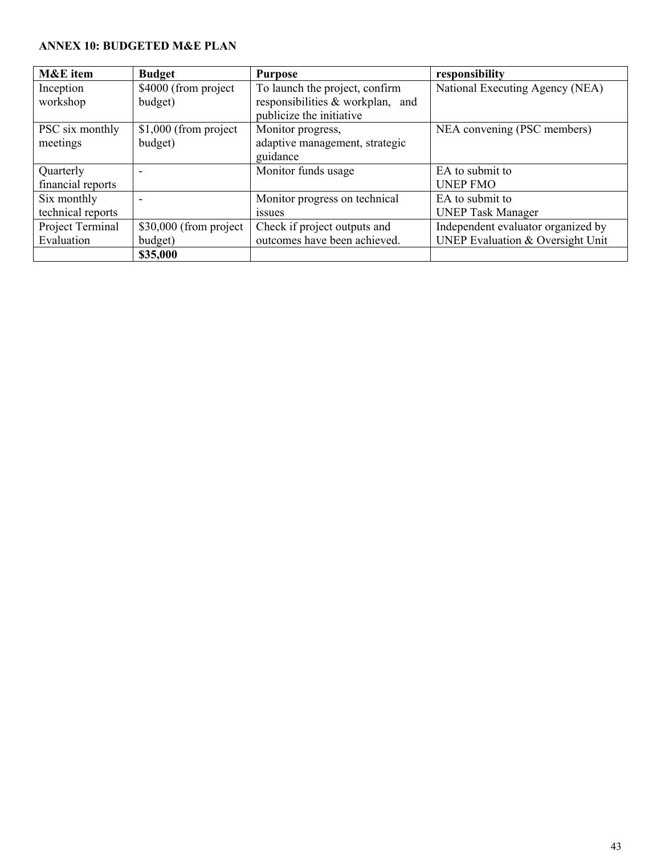## **ANNEX 10: BUDGETED M&E PLAN**

| M&E item          | <b>Budget</b>           | <b>Purpose</b>                   | responsibility                     |
|-------------------|-------------------------|----------------------------------|------------------------------------|
| Inception         | \$4000 (from project    | To launch the project, confirm   | National Executing Agency (NEA)    |
| workshop          | budget)                 | responsibilities & workplan, and |                                    |
|                   |                         | publicize the initiative         |                                    |
| PSC six monthly   | $$1,000$ (from project  | Monitor progress,                | NEA convening (PSC members)        |
| meetings          | budget)                 | adaptive management, strategic   |                                    |
|                   |                         | guidance                         |                                    |
| Quarterly         |                         | Monitor funds usage              | EA to submit to                    |
| financial reports |                         |                                  | <b>UNEP FMO</b>                    |
| Six monthly       |                         | Monitor progress on technical    | EA to submit to                    |
| technical reports |                         | <i>ssues</i>                     | <b>UNEP Task Manager</b>           |
| Project Terminal  | $$30,000$ (from project | Check if project outputs and     | Independent evaluator organized by |
| Evaluation        | budget)                 | outcomes have been achieved.     | UNEP Evaluation & Oversight Unit   |
|                   | \$35,000                |                                  |                                    |